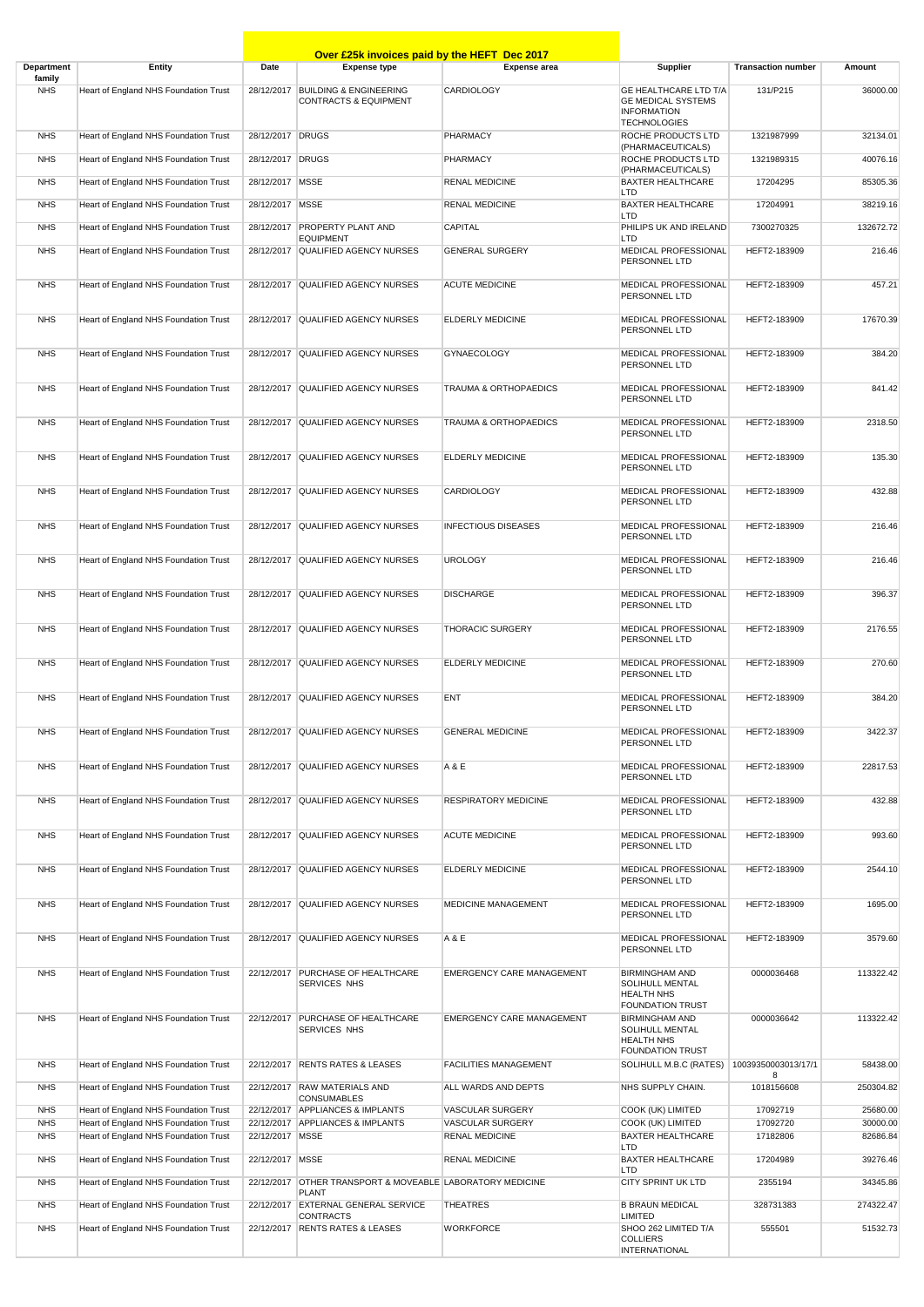|                          |                                                                                |                   | Over £25k invoices paid by the HEFT Dec 2017                          |                                                    |                                                                                                        |                           |                      |
|--------------------------|--------------------------------------------------------------------------------|-------------------|-----------------------------------------------------------------------|----------------------------------------------------|--------------------------------------------------------------------------------------------------------|---------------------------|----------------------|
| <b>Department</b>        | <b>Entity</b>                                                                  | Date              | <b>Expense type</b>                                                   | <b>Expense area</b>                                | Supplier                                                                                               | <b>Transaction number</b> | Amount               |
| family<br><b>NHS</b>     | Heart of England NHS Foundation Trust                                          |                   | 28/12/2017 BUILDING & ENGINEERING<br><b>CONTRACTS &amp; EQUIPMENT</b> | <b>CARDIOLOGY</b>                                  | <b>GE HEALTHCARE LTD T/A</b><br><b>GE MEDICAL SYSTEMS</b><br><b>INFORMATION</b><br><b>TECHNOLOGIES</b> | 131/P215                  | 36000.00             |
| <b>NHS</b>               | Heart of England NHS Foundation Trust                                          | 28/12/2017 DRUGS  |                                                                       | <b>PHARMACY</b>                                    | ROCHE PRODUCTS LTD<br>(PHARMACEUTICALS)                                                                | 1321987999                | 32134.01             |
| <b>NHS</b>               | Heart of England NHS Foundation Trust                                          | 28/12/2017 DRUGS  |                                                                       | <b>PHARMACY</b>                                    | ROCHE PRODUCTS LTD                                                                                     | 1321989315                | 40076.16             |
| <b>NHS</b>               | Heart of England NHS Foundation Trust                                          | 28/12/2017   MSSE |                                                                       | <b>RENAL MEDICINE</b>                              | (PHARMACEUTICALS)<br><b>BAXTER HEALTHCARE</b>                                                          | 17204295                  | 85305.36             |
| <b>NHS</b>               | Heart of England NHS Foundation Trust                                          | 28/12/2017 MSSE   |                                                                       | <b>RENAL MEDICINE</b>                              | <b>LTD</b><br><b>BAXTER HEALTHCARE</b>                                                                 | 17204991                  | 38219.16             |
| <b>NHS</b>               | Heart of England NHS Foundation Trust                                          | 28/12/2017        | <b>PROPERTY PLANT AND</b>                                             | <b>CAPITAL</b>                                     | <b>LTD</b><br>PHILIPS UK AND IRELAND                                                                   | 7300270325                | 132672.72            |
| <b>NHS</b>               | Heart of England NHS Foundation Trust                                          |                   | <b>EQUIPMENT</b><br>28/12/2017 QUALIFIED AGENCY NURSES                | <b>GENERAL SURGERY</b>                             | <b>LTD</b><br><b>MEDICAL PROFESSIONAL</b>                                                              | HEFT2-183909              | 216.46               |
| <b>NHS</b>               | Heart of England NHS Foundation Trust                                          |                   | 28/12/2017 QUALIFIED AGENCY NURSES                                    | <b>ACUTE MEDICINE</b>                              | PERSONNEL LTD<br>MEDICAL PROFESSIONAL                                                                  | HEFT2-183909              | 457.21               |
|                          |                                                                                |                   |                                                                       |                                                    | PERSONNEL LTD                                                                                          |                           |                      |
| <b>NHS</b>               | Heart of England NHS Foundation Trust                                          |                   | 28/12/2017 QUALIFIED AGENCY NURSES                                    | <b>ELDERLY MEDICINE</b>                            | <b>MEDICAL PROFESSIONAL</b><br>PERSONNEL LTD                                                           | HEFT2-183909              | 17670.39             |
| <b>NHS</b>               | Heart of England NHS Foundation Trust                                          |                   | 28/12/2017 QUALIFIED AGENCY NURSES                                    | <b>GYNAECOLOGY</b>                                 | MEDICAL PROFESSIONAL<br>PERSONNEL LTD                                                                  | HEFT2-183909              | 384.20               |
| <b>NHS</b>               | Heart of England NHS Foundation Trust                                          |                   | 28/12/2017 QUALIFIED AGENCY NURSES                                    | <b>TRAUMA &amp; ORTHOPAEDICS</b>                   | <b>MEDICAL PROFESSIONAL</b><br>PERSONNEL LTD                                                           | HEFT2-183909              | 841.42               |
| <b>NHS</b>               | Heart of England NHS Foundation Trust                                          |                   | 28/12/2017 QUALIFIED AGENCY NURSES                                    | <b>TRAUMA &amp; ORTHOPAEDICS</b>                   | <b>MEDICAL PROFESSIONAL</b><br>PERSONNEL LTD                                                           | HEFT2-183909              | 2318.50              |
| <b>NHS</b>               | Heart of England NHS Foundation Trust                                          |                   | 28/12/2017 QUALIFIED AGENCY NURSES                                    | <b>ELDERLY MEDICINE</b>                            | <b>MEDICAL PROFESSIONAL</b><br>PERSONNEL LTD                                                           | HEFT2-183909              | 135.30               |
| <b>NHS</b>               | Heart of England NHS Foundation Trust                                          |                   | 28/12/2017 QUALIFIED AGENCY NURSES                                    | <b>CARDIOLOGY</b>                                  | <b>MEDICAL PROFESSIONAL</b><br>PERSONNEL LTD                                                           | HEFT2-183909              | 432.88               |
| <b>NHS</b>               | Heart of England NHS Foundation Trust                                          |                   | 28/12/2017 QUALIFIED AGENCY NURSES                                    | <b>INFECTIOUS DISEASES</b>                         | <b>MEDICAL PROFESSIONAL</b><br>PERSONNEL LTD                                                           | HEFT2-183909              | 216.46               |
| <b>NHS</b>               | Heart of England NHS Foundation Trust                                          |                   | 28/12/2017 QUALIFIED AGENCY NURSES                                    | <b>UROLOGY</b>                                     | MEDICAL PROFESSIONAL<br>PERSONNEL LTD                                                                  | HEFT2-183909              | 216.46               |
| <b>NHS</b>               | Heart of England NHS Foundation Trust                                          |                   | 28/12/2017 QUALIFIED AGENCY NURSES                                    | <b>DISCHARGE</b>                                   | MEDICAL PROFESSIONAL<br>PERSONNEL LTD                                                                  | HEFT2-183909              | 396.37               |
| <b>NHS</b>               | Heart of England NHS Foundation Trust                                          |                   | 28/12/2017 QUALIFIED AGENCY NURSES                                    | <b>THORACIC SURGERY</b>                            | <b>MEDICAL PROFESSIONAL</b><br>PERSONNEL LTD                                                           | HEFT2-183909              | 2176.55              |
| <b>NHS</b>               | Heart of England NHS Foundation Trust                                          |                   | 28/12/2017 QUALIFIED AGENCY NURSES                                    | <b>ELDERLY MEDICINE</b>                            | MEDICAL PROFESSIONAL<br>PERSONNEL LTD                                                                  | HEFT2-183909              | 270.60               |
| <b>NHS</b>               | Heart of England NHS Foundation Trust                                          |                   | 28/12/2017 QUALIFIED AGENCY NURSES                                    | <b>ENT</b>                                         | <b>MEDICAL PROFESSIONAL</b><br>PERSONNEL LTD                                                           | HEFT2-183909              | 384.20               |
| <b>NHS</b>               | Heart of England NHS Foundation Trust                                          |                   | 28/12/2017 QUALIFIED AGENCY NURSES                                    | <b>GENERAL MEDICINE</b>                            | MEDICAL PROFESSIONAL<br>PERSONNEL LTD                                                                  | HEFT2-183909              | 3422.37              |
| <b>NHS</b>               | Heart of England NHS Foundation Trust                                          |                   | 28/12/2017 QUALIFIED AGENCY NURSES                                    | A & E                                              | <b>MEDICAL PROFESSIONAL</b><br>PERSONNEL LTD                                                           | HEFT2-183909              | 22817.53             |
| <b>NHS</b>               | Heart of England NHS Foundation Trust                                          |                   | 28/12/2017 QUALIFIED AGENCY NURSES                                    | <b>RESPIRATORY MEDICINE</b>                        | <b>MEDICAL PROFESSIONAL</b><br>PERSONNEL LTD                                                           | HEFT2-183909              | 432.88               |
| <b>NHS</b>               | Heart of England NHS Foundation Trust                                          |                   | 28/12/2017 QUALIFIED AGENCY NURSES                                    | <b>ACUTE MEDICINE</b>                              | MEDICAL PROFESSIONAL<br>PERSONNEL LTD                                                                  | HEFT2-183909              | 993.60               |
| <b>NHS</b>               | Heart of England NHS Foundation Trust                                          |                   | 28/12/2017 QUALIFIED AGENCY NURSES                                    | <b>ELDERLY MEDICINE</b>                            | MEDICAL PROFESSIONAL<br>PERSONNEL LTD                                                                  | HEFT2-183909              | 2544.10              |
| <b>NHS</b>               | Heart of England NHS Foundation Trust                                          |                   | 28/12/2017 QUALIFIED AGENCY NURSES                                    | <b>MEDICINE MANAGEMENT</b>                         | MEDICAL PROFESSIONAL<br>PERSONNEL LTD                                                                  | HEFT2-183909              | 1695.00              |
| <b>NHS</b>               | Heart of England NHS Foundation Trust                                          |                   | 28/12/2017 QUALIFIED AGENCY NURSES                                    | A & E                                              | MEDICAL PROFESSIONAL<br>PERSONNEL LTD                                                                  | HEFT2-183909              | 3579.60              |
| <b>NHS</b>               | Heart of England NHS Foundation Trust                                          |                   | 22/12/2017 PURCHASE OF HEALTHCARE<br><b>SERVICES NHS</b>              | <b>EMERGENCY CARE MANAGEMENT</b>                   | <b>BIRMINGHAM AND</b><br><b>SOLIHULL MENTAL</b><br><b>HEALTH NHS</b><br><b>FOUNDATION TRUST</b>        | 0000036468                | 113322.42            |
| <b>NHS</b>               | Heart of England NHS Foundation Trust                                          |                   | 22/12/2017 PURCHASE OF HEALTHCARE<br>SERVICES NHS                     | <b>EMERGENCY CARE MANAGEMENT</b>                   | <b>BIRMINGHAM AND</b><br>SOLIHULL MENTAL<br><b>HEALTH NHS</b><br><b>FOUNDATION TRUST</b>               | 0000036642                | 113322.42            |
| <b>NHS</b>               | Heart of England NHS Foundation Trust                                          |                   | 22/12/2017 RENTS RATES & LEASES                                       | <b>FACILITIES MANAGEMENT</b>                       | SOLIHULL M.B.C (RATES)                                                                                 | 10039350003013/17/1       | 58438.00             |
| <b>NHS</b>               | Heart of England NHS Foundation Trust                                          |                   | 22/12/2017 RAW MATERIALS AND<br><b>CONSUMABLES</b>                    | ALL WARDS AND DEPTS                                | NHS SUPPLY CHAIN.                                                                                      | 8<br>1018156608           | 250304.82            |
| <b>NHS</b><br><b>NHS</b> | Heart of England NHS Foundation Trust<br>Heart of England NHS Foundation Trust |                   | 22/12/2017 APPLIANCES & IMPLANTS<br>22/12/2017 APPLIANCES & IMPLANTS  | <b>VASCULAR SURGERY</b><br><b>VASCULAR SURGERY</b> | COOK (UK) LIMITED<br>COOK (UK) LIMITED                                                                 | 17092719<br>17092720      | 25680.00<br>30000.00 |
| <b>NHS</b>               | Heart of England NHS Foundation Trust                                          | 22/12/2017   MSSE |                                                                       | <b>RENAL MEDICINE</b>                              | <b>BAXTER HEALTHCARE</b>                                                                               | 17182806                  | 82686.84             |
| <b>NHS</b>               | Heart of England NHS Foundation Trust                                          | 22/12/2017   MSSE |                                                                       | <b>RENAL MEDICINE</b>                              | LTD.<br><b>BAXTER HEALTHCARE</b>                                                                       | 17204989                  | 39276.46             |
| <b>NHS</b>               | Heart of England NHS Foundation Trust                                          |                   | 22/12/2017 OTHER TRANSPORT & MOVEABLE LABORATORY MEDICINE             |                                                    | <b>LTD</b><br><b>CITY SPRINT UK LTD</b>                                                                | 2355194                   | 34345.86             |
| <b>NHS</b>               | Heart of England NHS Foundation Trust                                          |                   | <b>PLANT</b><br>22/12/2017 EXTERNAL GENERAL SERVICE                   | <b>THEATRES</b>                                    | <b>B BRAUN MEDICAL</b>                                                                                 | 328731383                 | 274322.47            |
| <b>NHS</b>               | Heart of England NHS Foundation Trust                                          | 22/12/2017        | <b>CONTRACTS</b><br><b>RENTS RATES &amp; LEASES</b>                   | <b>WORKFORCE</b>                                   | LIMITED<br>SHOO 262 LIMITED T/A<br><b>COLLIERS</b><br><b>INTERNATIONAL</b>                             | 555501                    | 51532.73             |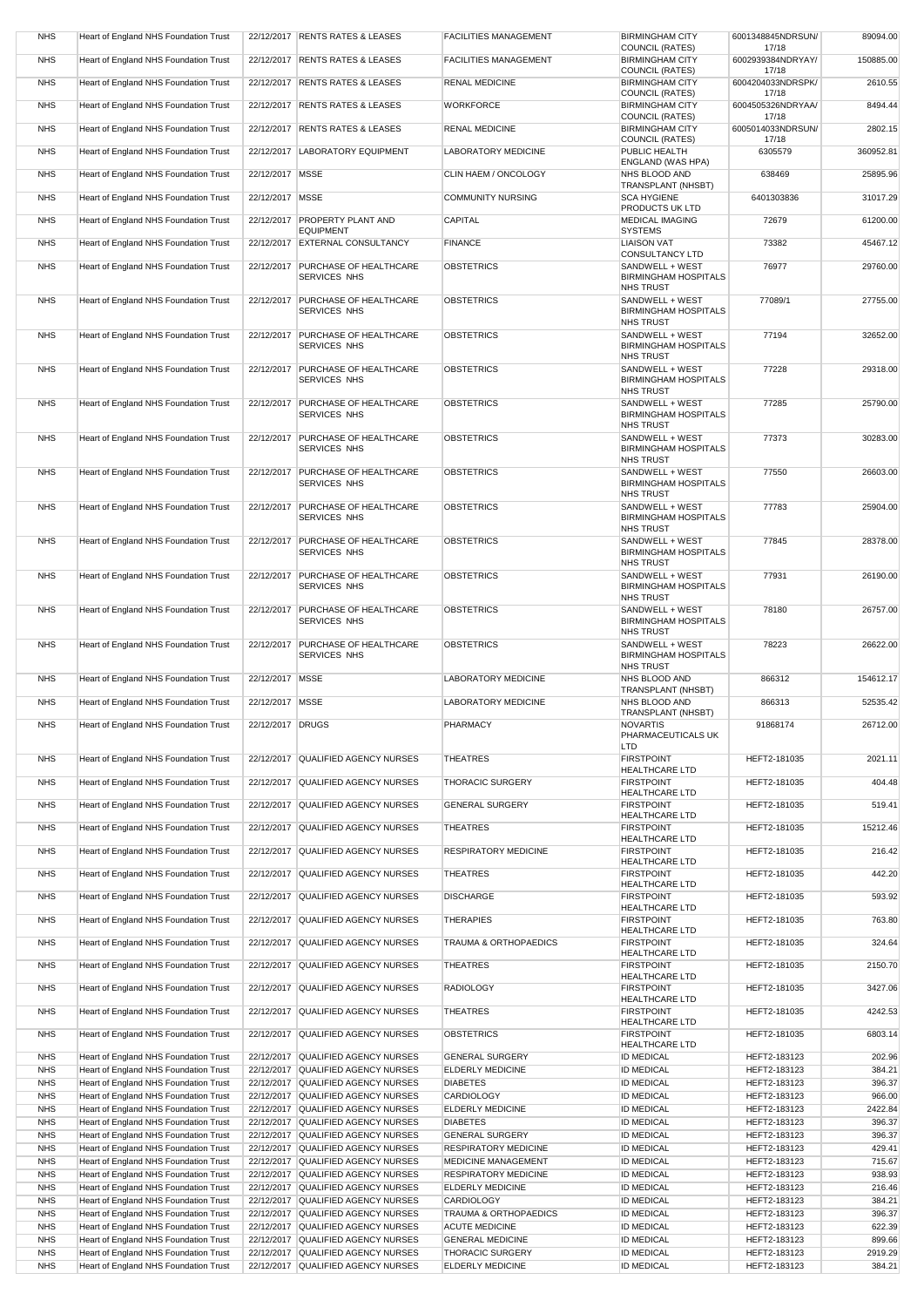| <b>NHS</b>               | Heart of England NHS Foundation Trust                                          |                   | 22/12/2017 RENTS RATES & LEASES                                          | <b>FACILITIES MANAGEMENT</b>                              | <b>BIRMINGHAM CITY</b>                           | 6001348845NDRSUN/            | 89094.00          |
|--------------------------|--------------------------------------------------------------------------------|-------------------|--------------------------------------------------------------------------|-----------------------------------------------------------|--------------------------------------------------|------------------------------|-------------------|
|                          |                                                                                |                   |                                                                          |                                                           | COUNCIL (RATES)                                  | 17/18                        |                   |
| <b>NHS</b>               | Heart of England NHS Foundation Trust                                          |                   | 22/12/2017 RENTS RATES & LEASES                                          | <b>FACILITIES MANAGEMENT</b>                              | <b>BIRMINGHAM CITY</b><br>COUNCIL (RATES)        | 6002939384NDRYAY/<br>17/18   | 150885.00         |
| <b>NHS</b>               | Heart of England NHS Foundation Trust                                          |                   | 22/12/2017 RENTS RATES & LEASES                                          | <b>RENAL MEDICINE</b>                                     | <b>BIRMINGHAM CITY</b>                           | 6004204033NDRSPK/            | 2610.55           |
| <b>NHS</b>               | Heart of England NHS Foundation Trust                                          |                   | 22/12/2017 RENTS RATES & LEASES                                          | <b>WORKFORCE</b>                                          | COUNCIL (RATES)<br><b>BIRMINGHAM CITY</b>        | 17/18<br>6004505326NDRYAA/   | 8494.44           |
|                          |                                                                                |                   |                                                                          |                                                           | COUNCIL (RATES)                                  | 17/18                        |                   |
| <b>NHS</b>               | Heart of England NHS Foundation Trust                                          |                   | 22/12/2017 RENTS RATES & LEASES                                          | <b>RENAL MEDICINE</b>                                     | <b>BIRMINGHAM CITY</b><br><b>COUNCIL (RATES)</b> | 6005014033NDRSUN/<br>17/18   | 2802.15           |
| <b>NHS</b>               | Heart of England NHS Foundation Trust                                          |                   | 22/12/2017 LABORATORY EQUIPMENT                                          | <b>LABORATORY MEDICINE</b>                                | PUBLIC HEALTH                                    | 6305579                      | 360952.81         |
| <b>NHS</b>               | Heart of England NHS Foundation Trust                                          | 22/12/2017 MSSE   |                                                                          | CLIN HAEM / ONCOLOGY                                      | <b>ENGLAND (WAS HPA)</b><br>NHS BLOOD AND        | 638469                       | 25895.96          |
|                          |                                                                                |                   |                                                                          |                                                           | <b>TRANSPLANT (NHSBT)</b>                        |                              |                   |
| <b>NHS</b>               | Heart of England NHS Foundation Trust                                          | 22/12/2017 MSSE   |                                                                          | <b>COMMUNITY NURSING</b>                                  | <b>SCA HYGIENE</b><br><b>PRODUCTS UK LTD</b>     | 6401303836                   | 31017.29          |
| <b>NHS</b>               | Heart of England NHS Foundation Trust                                          |                   | 22/12/2017 PROPERTY PLANT AND<br><b>EQUIPMENT</b>                        | <b>CAPITAL</b>                                            | <b>MEDICAL IMAGING</b><br><b>SYSTEMS</b>         | 72679                        | 61200.00          |
| <b>NHS</b>               | Heart of England NHS Foundation Trust                                          |                   | 22/12/2017 EXTERNAL CONSULTANCY                                          | <b>FINANCE</b>                                            | <b>LIAISON VAT</b>                               | 73382                        | 45467.12          |
| <b>NHS</b>               | Heart of England NHS Foundation Trust                                          |                   | 22/12/2017 PURCHASE OF HEALTHCARE                                        | <b>OBSTETRICS</b>                                         | <b>CONSULTANCY LTD</b><br>SANDWELL + WEST        | 76977                        | 29760.00          |
|                          |                                                                                |                   | <b>SERVICES NHS</b>                                                      |                                                           | <b>BIRMINGHAM HOSPITALS</b>                      |                              |                   |
| <b>NHS</b>               | Heart of England NHS Foundation Trust                                          |                   | 22/12/2017 PURCHASE OF HEALTHCARE                                        | <b>OBSTETRICS</b>                                         | <b>NHS TRUST</b><br>SANDWELL + WEST              | 77089/1                      | 27755.00          |
|                          |                                                                                |                   | <b>SERVICES NHS</b>                                                      |                                                           | <b>BIRMINGHAM HOSPITALS</b>                      |                              |                   |
| <b>NHS</b>               | Heart of England NHS Foundation Trust                                          |                   | 22/12/2017 PURCHASE OF HEALTHCARE                                        | <b>OBSTETRICS</b>                                         | <b>NHS TRUST</b><br>SANDWELL + WEST              | 77194                        | 32652.00          |
|                          |                                                                                |                   | <b>SERVICES NHS</b>                                                      |                                                           | <b>BIRMINGHAM HOSPITALS</b>                      |                              |                   |
| <b>NHS</b>               | Heart of England NHS Foundation Trust                                          |                   | 22/12/2017 PURCHASE OF HEALTHCARE                                        | <b>OBSTETRICS</b>                                         | <b>NHS TRUST</b><br>SANDWELL + WEST              | 77228                        | 29318.00          |
|                          |                                                                                |                   | <b>SERVICES NHS</b>                                                      |                                                           | <b>BIRMINGHAM HOSPITALS</b>                      |                              |                   |
| <b>NHS</b>               | Heart of England NHS Foundation Trust                                          |                   | 22/12/2017 PURCHASE OF HEALTHCARE                                        | <b>OBSTETRICS</b>                                         | <b>NHS TRUST</b><br>SANDWELL + WEST              | 77285                        | 25790.00          |
|                          |                                                                                |                   | <b>SERVICES NHS</b>                                                      |                                                           | <b>BIRMINGHAM HOSPITALS</b>                      |                              |                   |
| <b>NHS</b>               | Heart of England NHS Foundation Trust                                          |                   | 22/12/2017 PURCHASE OF HEALTHCARE                                        | <b>OBSTETRICS</b>                                         | <b>NHS TRUST</b><br>SANDWELL + WEST              | 77373                        | 30283.00          |
|                          |                                                                                |                   | <b>SERVICES NHS</b>                                                      |                                                           | <b>BIRMINGHAM HOSPITALS</b>                      |                              |                   |
| <b>NHS</b>               | Heart of England NHS Foundation Trust                                          |                   | 22/12/2017 PURCHASE OF HEALTHCARE                                        | <b>OBSTETRICS</b>                                         | <b>NHS TRUST</b><br>SANDWELL + WEST              | 77550                        | 26603.00          |
|                          |                                                                                |                   | <b>SERVICES NHS</b>                                                      |                                                           | <b>BIRMINGHAM HOSPITALS</b>                      |                              |                   |
| <b>NHS</b>               | Heart of England NHS Foundation Trust                                          |                   | 22/12/2017 PURCHASE OF HEALTHCARE                                        | <b>OBSTETRICS</b>                                         | <b>NHS TRUST</b><br>SANDWELL + WEST              | 77783                        | 25904.00          |
|                          |                                                                                |                   | SERVICES NHS                                                             |                                                           | <b>BIRMINGHAM HOSPITALS</b>                      |                              |                   |
| <b>NHS</b>               | Heart of England NHS Foundation Trust                                          |                   | 22/12/2017 PURCHASE OF HEALTHCARE                                        | <b>OBSTETRICS</b>                                         | <b>NHS TRUST</b><br>SANDWELL + WEST              | 77845                        | 28378.00          |
|                          |                                                                                |                   | <b>SERVICES NHS</b>                                                      |                                                           | <b>BIRMINGHAM HOSPITALS</b><br><b>NHS TRUST</b>  |                              |                   |
| <b>NHS</b>               | Heart of England NHS Foundation Trust                                          |                   | 22/12/2017 PURCHASE OF HEALTHCARE                                        | <b>OBSTETRICS</b>                                         | SANDWELL + WEST                                  | 77931                        | 26190.00          |
|                          |                                                                                |                   | <b>SERVICES NHS</b>                                                      |                                                           | <b>BIRMINGHAM HOSPITALS</b><br><b>NHS TRUST</b>  |                              |                   |
| <b>NHS</b>               | Heart of England NHS Foundation Trust                                          |                   | 22/12/2017 PURCHASE OF HEALTHCARE                                        | <b>OBSTETRICS</b>                                         | SANDWELL + WEST                                  | 78180                        | 26757.00          |
|                          |                                                                                |                   | <b>SERVICES NHS</b>                                                      |                                                           | <b>BIRMINGHAM HOSPITALS</b><br><b>NHS TRUST</b>  |                              |                   |
| <b>NHS</b>               | Heart of England NHS Foundation Trust                                          |                   | 22/12/2017 PURCHASE OF HEALTHCARE                                        | <b>OBSTETRICS</b>                                         | SANDWELL + WEST                                  | 78223                        | 26622.00          |
|                          |                                                                                |                   | <b>SERVICES NHS</b>                                                      |                                                           | <b>BIRMINGHAM HOSPITALS</b><br><b>NHS TRUST</b>  |                              |                   |
| <b>NHS</b>               | Heart of England NHS Foundation Trust                                          | 22/12/2017 MSSE   |                                                                          | <b>LABORATORY MEDICINE</b>                                | NHS BLOOD AND                                    | 866312                       | 154612.17         |
| <b>NHS</b>               | Heart of England NHS Foundation Trust                                          | 22/12/2017   MSSE |                                                                          | <b>LABORATORY MEDICINE</b>                                | <b>TRANSPLANT (NHSBT)</b><br>NHS BLOOD AND       | 866313                       | 52535.42          |
|                          |                                                                                |                   |                                                                          |                                                           | TRANSPLANT (NHSBT)                               |                              |                   |
| <b>NHS</b>               | Heart of England NHS Foundation Trust                                          | 22/12/2017 DRUGS  |                                                                          | <b>PHARMACY</b>                                           | <b>NOVARTIS</b><br>PHARMACEUTICALS UK            | 91868174                     | 26712.00          |
|                          |                                                                                |                   |                                                                          |                                                           | <b>LTD</b>                                       |                              |                   |
| <b>NHS</b>               | Heart of England NHS Foundation Trust                                          |                   | 22/12/2017 QUALIFIED AGENCY NURSES                                       | <b>THEATRES</b>                                           | <b>FIRSTPOINT</b><br><b>HEALTHCARE LTD</b>       | HEFT2-181035                 | 2021.11           |
| <b>NHS</b>               | Heart of England NHS Foundation Trust                                          |                   | 22/12/2017 QUALIFIED AGENCY NURSES                                       | <b>THORACIC SURGERY</b>                                   | <b>FIRSTPOINT</b>                                | HEFT2-181035                 | 404.48            |
| <b>NHS</b>               | Heart of England NHS Foundation Trust                                          |                   | 22/12/2017 QUALIFIED AGENCY NURSES                                       | <b>GENERAL SURGERY</b>                                    | <b>HEALTHCARE LTD</b><br><b>FIRSTPOINT</b>       | HEFT2-181035                 | 519.41            |
|                          |                                                                                |                   |                                                                          |                                                           | <b>HEALTHCARE LTD</b>                            |                              |                   |
| <b>NHS</b>               | Heart of England NHS Foundation Trust                                          |                   |                                                                          |                                                           |                                                  |                              | 15212.46          |
| <b>NHS</b>               |                                                                                |                   | 22/12/2017 QUALIFIED AGENCY NURSES                                       | <b>THEATRES</b>                                           | <b>FIRSTPOINT</b>                                | HEFT2-181035                 |                   |
|                          | Heart of England NHS Foundation Trust                                          |                   | 22/12/2017 QUALIFIED AGENCY NURSES                                       | <b>RESPIRATORY MEDICINE</b>                               | <b>HEALTHCARE LTD</b><br><b>FIRSTPOINT</b>       | HEFT2-181035                 | 216.42            |
|                          |                                                                                |                   |                                                                          |                                                           | <b>HEALTHCARE LTD</b>                            |                              |                   |
| <b>NHS</b>               | Heart of England NHS Foundation Trust                                          |                   | 22/12/2017 QUALIFIED AGENCY NURSES                                       | <b>THEATRES</b>                                           | <b>FIRSTPOINT</b><br><b>HEALTHCARE LTD</b>       | HEFT2-181035                 | 442.20            |
| <b>NHS</b>               | Heart of England NHS Foundation Trust                                          |                   | 22/12/2017 QUALIFIED AGENCY NURSES                                       | <b>DISCHARGE</b>                                          | <b>FIRSTPOINT</b>                                | HEFT2-181035                 | 593.92            |
| <b>NHS</b>               | Heart of England NHS Foundation Trust                                          |                   | 22/12/2017 QUALIFIED AGENCY NURSES                                       | <b>THERAPIES</b>                                          | <b>HEALTHCARE LTD</b><br><b>FIRSTPOINT</b>       | HEFT2-181035                 | 763.80            |
| <b>NHS</b>               | Heart of England NHS Foundation Trust                                          |                   | 22/12/2017 QUALIFIED AGENCY NURSES                                       | <b>TRAUMA &amp; ORTHOPAEDICS</b>                          | <b>HEALTHCARE LTD</b><br><b>FIRSTPOINT</b>       | HEFT2-181035                 | 324.64            |
|                          |                                                                                |                   |                                                                          |                                                           | <b>HEALTHCARE LTD</b>                            |                              |                   |
| <b>NHS</b>               | Heart of England NHS Foundation Trust                                          |                   | 22/12/2017 QUALIFIED AGENCY NURSES                                       | <b>THEATRES</b>                                           | <b>FIRSTPOINT</b><br><b>HEALTHCARE LTD</b>       | HEFT2-181035                 | 2150.70           |
| <b>NHS</b>               | Heart of England NHS Foundation Trust                                          |                   | 22/12/2017 QUALIFIED AGENCY NURSES                                       | <b>RADIOLOGY</b>                                          | <b>FIRSTPOINT</b>                                | HEFT2-181035                 | 3427.06           |
| <b>NHS</b>               | Heart of England NHS Foundation Trust                                          |                   | 22/12/2017 QUALIFIED AGENCY NURSES                                       | <b>THEATRES</b>                                           | <b>HEALTHCARE LTD</b><br><b>FIRSTPOINT</b>       | HEFT2-181035                 | 4242.53           |
|                          |                                                                                |                   |                                                                          |                                                           | <b>HEALTHCARE LTD</b>                            |                              |                   |
| <b>NHS</b>               | Heart of England NHS Foundation Trust                                          |                   | 22/12/2017 QUALIFIED AGENCY NURSES                                       | <b>OBSTETRICS</b>                                         | <b>FIRSTPOINT</b><br><b>HEALTHCARE LTD</b>       | HEFT2-181035                 | 6803.14           |
| <b>NHS</b>               | Heart of England NHS Foundation Trust                                          |                   | 22/12/2017 QUALIFIED AGENCY NURSES                                       | <b>GENERAL SURGERY</b>                                    | <b>ID MEDICAL</b>                                | HEFT2-183123                 | 202.96            |
| <b>NHS</b>               | Heart of England NHS Foundation Trust                                          |                   | 22/12/2017 QUALIFIED AGENCY NURSES                                       | <b>ELDERLY MEDICINE</b>                                   | <b>ID MEDICAL</b>                                | HEFT2-183123                 | 384.21            |
| <b>NHS</b><br><b>NHS</b> | Heart of England NHS Foundation Trust                                          |                   | 22/12/2017 QUALIFIED AGENCY NURSES<br>22/12/2017 QUALIFIED AGENCY NURSES | <b>DIABETES</b><br><b>CARDIOLOGY</b>                      | <b>ID MEDICAL</b><br><b>ID MEDICAL</b>           | HEFT2-183123<br>HEFT2-183123 | 396.37<br>966.00  |
| <b>NHS</b>               | Heart of England NHS Foundation Trust<br>Heart of England NHS Foundation Trust |                   | 22/12/2017 QUALIFIED AGENCY NURSES                                       | <b>ELDERLY MEDICINE</b>                                   | <b>ID MEDICAL</b>                                | HEFT2-183123                 | 2422.84           |
| <b>NHS</b>               | Heart of England NHS Foundation Trust                                          |                   | 22/12/2017 QUALIFIED AGENCY NURSES                                       | <b>DIABETES</b>                                           | <b>ID MEDICAL</b>                                | HEFT2-183123                 | 396.37            |
| <b>NHS</b>               | Heart of England NHS Foundation Trust                                          |                   | 22/12/2017 QUALIFIED AGENCY NURSES                                       | <b>GENERAL SURGERY</b>                                    | <b>ID MEDICAL</b>                                | HEFT2-183123                 | 396.37            |
| <b>NHS</b><br><b>NHS</b> | Heart of England NHS Foundation Trust<br>Heart of England NHS Foundation Trust |                   | 22/12/2017 QUALIFIED AGENCY NURSES<br>22/12/2017 QUALIFIED AGENCY NURSES | <b>RESPIRATORY MEDICINE</b><br><b>MEDICINE MANAGEMENT</b> | <b>ID MEDICAL</b><br><b>ID MEDICAL</b>           | HEFT2-183123<br>HEFT2-183123 | 429.41<br>715.67  |
| <b>NHS</b>               | Heart of England NHS Foundation Trust                                          |                   | 22/12/2017 QUALIFIED AGENCY NURSES                                       | <b>RESPIRATORY MEDICINE</b>                               | <b>ID MEDICAL</b>                                | HEFT2-183123                 | 938.93            |
| <b>NHS</b>               | Heart of England NHS Foundation Trust                                          |                   | 22/12/2017 QUALIFIED AGENCY NURSES                                       | <b>ELDERLY MEDICINE</b>                                   | <b>ID MEDICAL</b>                                | HEFT2-183123                 | 216.46            |
| <b>NHS</b>               | Heart of England NHS Foundation Trust                                          |                   | 22/12/2017 QUALIFIED AGENCY NURSES                                       | <b>CARDIOLOGY</b>                                         | <b>ID MEDICAL</b>                                | HEFT2-183123                 | 384.21            |
| <b>NHS</b>               | Heart of England NHS Foundation Trust                                          |                   | 22/12/2017 QUALIFIED AGENCY NURSES                                       | <b>TRAUMA &amp; ORTHOPAEDICS</b>                          | <b>ID MEDICAL</b>                                | HEFT2-183123                 | 396.37            |
| <b>NHS</b>               | Heart of England NHS Foundation Trust                                          |                   | 22/12/2017 QUALIFIED AGENCY NURSES                                       | <b>ACUTE MEDICINE</b>                                     | <b>ID MEDICAL</b>                                | HEFT2-183123                 | 622.39            |
| <b>NHS</b>               | Heart of England NHS Foundation Trust                                          |                   | 22/12/2017 QUALIFIED AGENCY NURSES                                       | <b>GENERAL MEDICINE</b>                                   | <b>ID MEDICAL</b>                                | HEFT2-183123                 | 899.66            |
| <b>NHS</b><br><b>NHS</b> | Heart of England NHS Foundation Trust<br>Heart of England NHS Foundation Trust |                   | 22/12/2017 QUALIFIED AGENCY NURSES<br>22/12/2017 QUALIFIED AGENCY NURSES | <b>THORACIC SURGERY</b><br><b>ELDERLY MEDICINE</b>        | <b>ID MEDICAL</b><br><b>ID MEDICAL</b>           | HEFT2-183123<br>HEFT2-183123 | 2919.29<br>384.21 |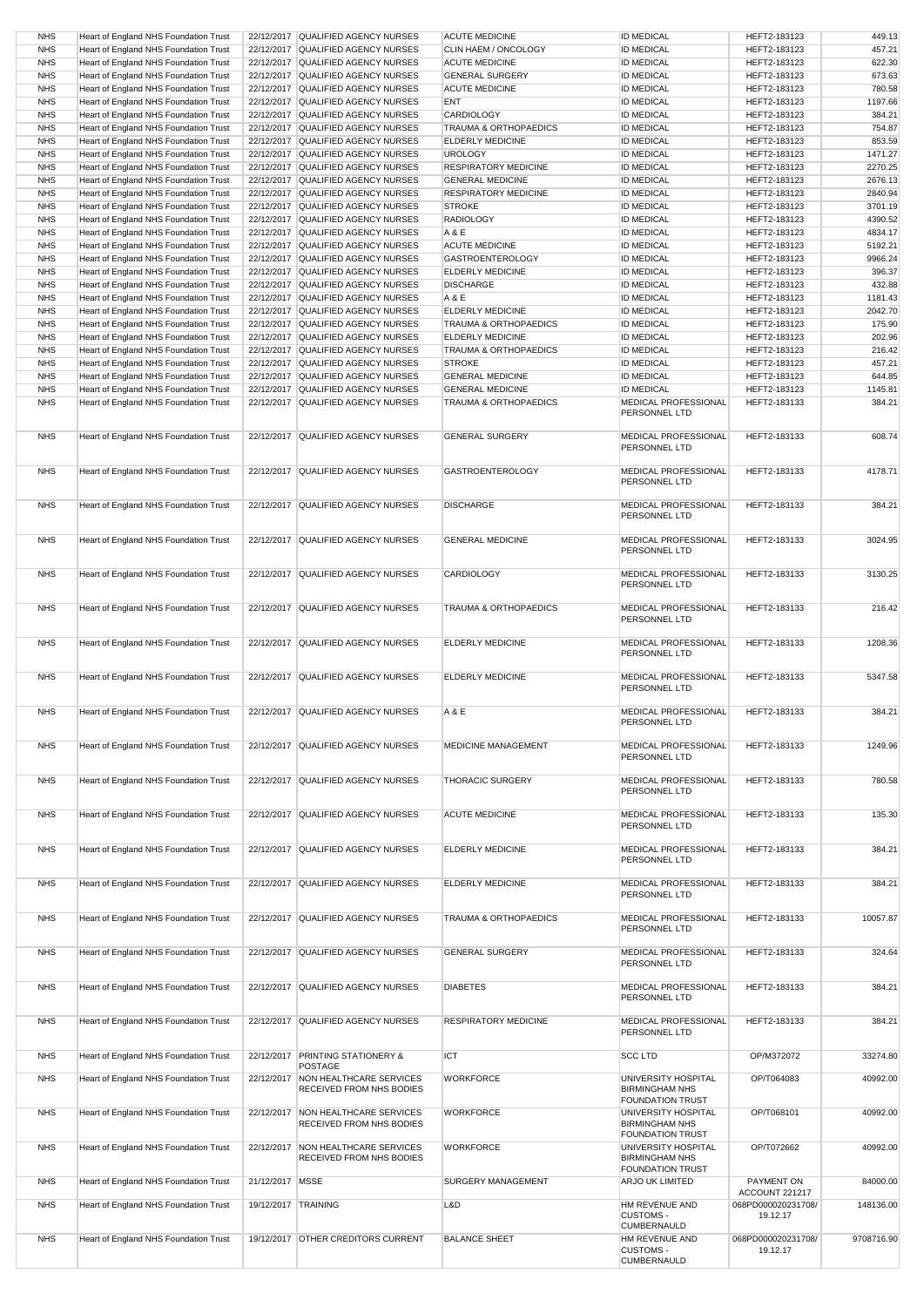| <b>NHS</b> | Heart of England NHS Foundation Trust        |                     | 22/12/2017 QUALIFIED AGENCY NURSES                 | <b>ACUTE MEDICINE</b>            | <b>ID MEDICAL</b>                      | HEFT2-183123                   | 449.13     |
|------------|----------------------------------------------|---------------------|----------------------------------------------------|----------------------------------|----------------------------------------|--------------------------------|------------|
| <b>NHS</b> | Heart of England NHS Foundation Trust        |                     | 22/12/2017 QUALIFIED AGENCY NURSES                 | CLIN HAEM / ONCOLOGY             | <b>ID MEDICAL</b>                      | HEFT2-183123                   | 457.21     |
| <b>NHS</b> | Heart of England NHS Foundation Trust        |                     | 22/12/2017 QUALIFIED AGENCY NURSES                 | <b>ACUTE MEDICINE</b>            | <b>ID MEDICAL</b>                      | HEFT2-183123                   | 622.30     |
| <b>NHS</b> | Heart of England NHS Foundation Trust        |                     | 22/12/2017 QUALIFIED AGENCY NURSES                 | <b>GENERAL SURGERY</b>           | <b>ID MEDICAL</b>                      | HEFT2-183123                   | 673.63     |
| <b>NHS</b> | Heart of England NHS Foundation Trust        |                     | 22/12/2017 QUALIFIED AGENCY NURSES                 | <b>ACUTE MEDICINE</b>            | <b>ID MEDICAL</b>                      | HEFT2-183123                   | 780.58     |
| <b>NHS</b> | Heart of England NHS Foundation Trust        |                     | 22/12/2017 QUALIFIED AGENCY NURSES                 | <b>ENT</b>                       | <b>ID MEDICAL</b>                      | HEFT2-183123                   | 1197.66    |
| <b>NHS</b> | Heart of England NHS Foundation Trust        |                     | 22/12/2017 QUALIFIED AGENCY NURSES                 | <b>CARDIOLOGY</b>                | <b>ID MEDICAL</b>                      | HEFT2-183123                   | 384.21     |
| <b>NHS</b> | Heart of England NHS Foundation Trust        |                     | 22/12/2017 QUALIFIED AGENCY NURSES                 | <b>TRAUMA &amp; ORTHOPAEDICS</b> | <b>ID MEDICAL</b>                      | HEFT2-183123                   | 754.87     |
| <b>NHS</b> | Heart of England NHS Foundation Trust        |                     | 22/12/2017 QUALIFIED AGENCY NURSES                 | <b>ELDERLY MEDICINE</b>          | <b>ID MEDICAL</b>                      | HEFT2-183123                   | 853.59     |
| <b>NHS</b> | Heart of England NHS Foundation Trust        |                     | 22/12/2017 QUALIFIED AGENCY NURSES                 | <b>UROLOGY</b>                   | <b>ID MEDICAL</b>                      | HEFT2-183123                   | 1471.27    |
| <b>NHS</b> | Heart of England NHS Foundation Trust        |                     | 22/12/2017 QUALIFIED AGENCY NURSES                 | <b>RESPIRATORY MEDICINE</b>      | <b>ID MEDICAL</b>                      | HEFT2-183123                   | 2270.25    |
| <b>NHS</b> | Heart of England NHS Foundation Trust        |                     | 22/12/2017 QUALIFIED AGENCY NURSES                 | <b>GENERAL MEDICINE</b>          | <b>ID MEDICAL</b>                      | HEFT2-183123                   | 2676.13    |
| <b>NHS</b> | Heart of England NHS Foundation Trust        |                     | 22/12/2017 QUALIFIED AGENCY NURSES                 | <b>RESPIRATORY MEDICINE</b>      | <b>ID MEDICAL</b>                      | HEFT2-183123                   | 2840.94    |
| <b>NHS</b> | Heart of England NHS Foundation Trust        |                     | 22/12/2017 QUALIFIED AGENCY NURSES                 | <b>STROKE</b>                    | <b>ID MEDICAL</b>                      | HEFT2-183123                   | 3701.19    |
| <b>NHS</b> | Heart of England NHS Foundation Trust        |                     | 22/12/2017 QUALIFIED AGENCY NURSES                 | <b>RADIOLOGY</b>                 | <b>ID MEDICAL</b>                      | HEFT2-183123                   | 4390.52    |
| <b>NHS</b> | Heart of England NHS Foundation Trust        |                     | 22/12/2017 QUALIFIED AGENCY NURSES                 | A & E                            | <b>ID MEDICAL</b>                      | HEFT2-183123                   | 4834.17    |
| <b>NHS</b> | Heart of England NHS Foundation Trust        |                     | 22/12/2017 QUALIFIED AGENCY NURSES                 | <b>ACUTE MEDICINE</b>            | <b>ID MEDICAL</b>                      | HEFT2-183123                   | 5192.21    |
| <b>NHS</b> | <b>Heart of England NHS Foundation Trust</b> |                     | 22/12/2017 QUALIFIED AGENCY NURSES                 | <b>GASTROENTEROLOGY</b>          | <b>ID MEDICAL</b>                      | HEFT2-183123                   | 9966.24    |
| <b>NHS</b> | Heart of England NHS Foundation Trust        |                     | 22/12/2017 QUALIFIED AGENCY NURSES                 | <b>ELDERLY MEDICINE</b>          | <b>ID MEDICAL</b>                      | HEFT2-183123                   | 396.37     |
| <b>NHS</b> | Heart of England NHS Foundation Trust        |                     | 22/12/2017 QUALIFIED AGENCY NURSES                 | <b>DISCHARGE</b>                 | <b>ID MEDICAL</b>                      | HEFT2-183123                   | 432.88     |
| <b>NHS</b> | <b>Heart of England NHS Foundation Trust</b> |                     | 22/12/2017 QUALIFIED AGENCY NURSES                 | A & E                            | <b>ID MEDICAL</b>                      | HEFT2-183123                   | 1181.43    |
| <b>NHS</b> | Heart of England NHS Foundation Trust        |                     | 22/12/2017 QUALIFIED AGENCY NURSES                 | <b>ELDERLY MEDICINE</b>          | <b>ID MEDICAL</b>                      | HEFT2-183123                   | 2042.70    |
| <b>NHS</b> | Heart of England NHS Foundation Trust        |                     | 22/12/2017 QUALIFIED AGENCY NURSES                 | <b>TRAUMA &amp; ORTHOPAEDICS</b> | <b>ID MEDICAL</b>                      | HEFT2-183123                   | 175.90     |
| <b>NHS</b> |                                              |                     |                                                    |                                  |                                        |                                |            |
|            | Heart of England NHS Foundation Trust        |                     | 22/12/2017 QUALIFIED AGENCY NURSES                 | <b>ELDERLY MEDICINE</b>          | <b>ID MEDICAL</b>                      | HEFT2-183123                   | 202.96     |
| <b>NHS</b> | Heart of England NHS Foundation Trust        |                     | 22/12/2017 QUALIFIED AGENCY NURSES                 | <b>TRAUMA &amp; ORTHOPAEDICS</b> | <b>ID MEDICAL</b>                      | HEFT2-183123                   | 216.42     |
| <b>NHS</b> | Heart of England NHS Foundation Trust        |                     | 22/12/2017 QUALIFIED AGENCY NURSES                 | <b>STROKE</b>                    | <b>ID MEDICAL</b>                      | HEFT2-183123                   | 457.21     |
| <b>NHS</b> | Heart of England NHS Foundation Trust        |                     | 22/12/2017 QUALIFIED AGENCY NURSES                 | <b>GENERAL MEDICINE</b>          | <b>ID MEDICAL</b>                      | HEFT2-183123                   | 644.85     |
| <b>NHS</b> | Heart of England NHS Foundation Trust        |                     | 22/12/2017 QUALIFIED AGENCY NURSES                 | <b>GENERAL MEDICINE</b>          | <b>ID MEDICAL</b>                      | HEFT2-183123                   | 1145.81    |
| <b>NHS</b> | Heart of England NHS Foundation Trust        |                     | 22/12/2017 QUALIFIED AGENCY NURSES                 | <b>TRAUMA &amp; ORTHOPAEDICS</b> | MEDICAL PROFESSIONAL                   | HEFT2-183133                   | 384.21     |
|            |                                              |                     |                                                    |                                  | PERSONNEL LTD                          |                                |            |
|            |                                              |                     |                                                    |                                  | MEDICAL PROFESSIONAL                   |                                |            |
| <b>NHS</b> | Heart of England NHS Foundation Trust        |                     | 22/12/2017 QUALIFIED AGENCY NURSES                 | <b>GENERAL SURGERY</b>           | PERSONNEL LTD                          | HEFT2-183133                   | 608.74     |
|            |                                              |                     |                                                    |                                  |                                        |                                |            |
| <b>NHS</b> | Heart of England NHS Foundation Trust        |                     | 22/12/2017 QUALIFIED AGENCY NURSES                 | <b>GASTROENTEROLOGY</b>          | <b>MEDICAL PROFESSIONAL</b>            | HEFT2-183133                   | 4178.71    |
|            |                                              |                     |                                                    |                                  | PERSONNEL LTD                          |                                |            |
|            |                                              |                     |                                                    |                                  |                                        |                                |            |
| <b>NHS</b> | Heart of England NHS Foundation Trust        |                     | 22/12/2017 QUALIFIED AGENCY NURSES                 | <b>DISCHARGE</b>                 | <b>MEDICAL PROFESSIONAL</b>            | HEFT2-183133                   | 384.21     |
|            |                                              |                     |                                                    |                                  | PERSONNEL LTD                          |                                |            |
|            |                                              |                     |                                                    |                                  |                                        |                                |            |
| <b>NHS</b> | Heart of England NHS Foundation Trust        |                     | 22/12/2017 QUALIFIED AGENCY NURSES                 | <b>GENERAL MEDICINE</b>          | MEDICAL PROFESSIONAL                   | HEFT2-183133                   | 3024.95    |
|            |                                              |                     |                                                    |                                  | PERSONNEL LTD                          |                                |            |
|            |                                              |                     |                                                    |                                  |                                        |                                |            |
| <b>NHS</b> | Heart of England NHS Foundation Trust        |                     | 22/12/2017 QUALIFIED AGENCY NURSES                 | <b>CARDIOLOGY</b>                | MEDICAL PROFESSIONAL                   | HEFT2-183133                   | 3130.25    |
|            |                                              |                     |                                                    |                                  | PERSONNEL LTD                          |                                |            |
| <b>NHS</b> |                                              |                     | 22/12/2017 QUALIFIED AGENCY NURSES                 | <b>TRAUMA &amp; ORTHOPAEDICS</b> | MEDICAL PROFESSIONAL                   | HEFT2-183133                   | 216.42     |
|            | Heart of England NHS Foundation Trust        |                     |                                                    |                                  | PERSONNEL LTD                          |                                |            |
|            |                                              |                     |                                                    |                                  |                                        |                                |            |
| <b>NHS</b> | Heart of England NHS Foundation Trust        |                     | 22/12/2017 QUALIFIED AGENCY NURSES                 | <b>ELDERLY MEDICINE</b>          | MEDICAL PROFESSIONAL                   | HEFT2-183133                   | 1208.36    |
|            |                                              |                     |                                                    |                                  | PERSONNEL LTD                          |                                |            |
|            |                                              |                     |                                                    |                                  |                                        |                                |            |
| <b>NHS</b> | Heart of England NHS Foundation Trust        |                     | 22/12/2017 QUALIFIED AGENCY NURSES                 | <b>ELDERLY MEDICINE</b>          | MEDICAL PROFESSIONAL                   | HEFT2-183133                   | 5347.58    |
|            |                                              |                     |                                                    |                                  | PERSONNEL LTD                          |                                |            |
|            |                                              |                     |                                                    |                                  |                                        |                                |            |
| <b>NHS</b> | Heart of England NHS Foundation Trust        |                     | 22/12/2017 QUALIFIED AGENCY NURSES                 | A & E                            | MEDICAL PROFESSIONAL                   | HEFT2-183133                   | 384.21     |
|            |                                              |                     |                                                    |                                  | PERSONNEL LTD                          |                                |            |
| <b>NHS</b> |                                              |                     | 22/12/2017 QUALIFIED AGENCY NURSES                 | <b>MEDICINE MANAGEMENT</b>       | MEDICAL PROFESSIONAL                   | HEFT2-183133                   |            |
|            | Heart of England NHS Foundation Trust        |                     |                                                    |                                  | PERSONNEL LTD                          |                                | 1249.96    |
|            |                                              |                     |                                                    |                                  |                                        |                                |            |
| <b>NHS</b> | Heart of England NHS Foundation Trust        |                     |                                                    | <b>THORACIC SURGERY</b>          | MEDICAL PROFESSIONAL                   | HEFT2-183133                   | 780.58     |
|            |                                              |                     |                                                    |                                  |                                        |                                |            |
|            |                                              |                     | 22/12/2017 QUALIFIED AGENCY NURSES                 |                                  | PERSONNEL LTD                          |                                |            |
|            |                                              |                     |                                                    |                                  |                                        |                                |            |
| <b>NHS</b> | Heart of England NHS Foundation Trust        |                     | 22/12/2017 QUALIFIED AGENCY NURSES                 | <b>ACUTE MEDICINE</b>            | MEDICAL PROFESSIONAL                   | HEFT2-183133                   | 135.30     |
|            |                                              |                     |                                                    |                                  | PERSONNEL LTD                          |                                |            |
|            |                                              |                     |                                                    |                                  |                                        |                                |            |
| <b>NHS</b> | Heart of England NHS Foundation Trust        |                     | 22/12/2017 QUALIFIED AGENCY NURSES                 | <b>ELDERLY MEDICINE</b>          | MEDICAL PROFESSIONAL                   | HEFT2-183133                   | 384.21     |
|            |                                              |                     |                                                    |                                  | PERSONNEL LTD                          |                                |            |
|            |                                              |                     |                                                    |                                  |                                        |                                |            |
| <b>NHS</b> | Heart of England NHS Foundation Trust        |                     | 22/12/2017 QUALIFIED AGENCY NURSES                 | <b>ELDERLY MEDICINE</b>          | <b>MEDICAL PROFESSIONAL</b>            | HEFT2-183133                   | 384.21     |
|            |                                              |                     |                                                    |                                  | PERSONNEL LTD                          |                                |            |
|            |                                              |                     |                                                    |                                  |                                        |                                |            |
| <b>NHS</b> | Heart of England NHS Foundation Trust        |                     | 22/12/2017 QUALIFIED AGENCY NURSES                 | TRAUMA & ORTHOPAEDICS            | MEDICAL PROFESSIONAL                   | HEFT2-183133                   | 10057.87   |
|            |                                              |                     |                                                    |                                  | PERSONNEL LTD                          |                                |            |
| <b>NHS</b> | Heart of England NHS Foundation Trust        |                     | 22/12/2017 QUALIFIED AGENCY NURSES                 | <b>GENERAL SURGERY</b>           | MEDICAL PROFESSIONAL                   | HEFT2-183133                   | 324.64     |
|            |                                              |                     |                                                    |                                  | PERSONNEL LTD                          |                                |            |
|            |                                              |                     |                                                    |                                  |                                        |                                |            |
| <b>NHS</b> | Heart of England NHS Foundation Trust        |                     | 22/12/2017 QUALIFIED AGENCY NURSES                 | <b>DIABETES</b>                  | <b>MEDICAL PROFESSIONAL</b>            | HEFT2-183133                   | 384.21     |
|            |                                              |                     |                                                    |                                  | PERSONNEL LTD                          |                                |            |
|            |                                              |                     |                                                    |                                  |                                        |                                |            |
| <b>NHS</b> | Heart of England NHS Foundation Trust        |                     | 22/12/2017 QUALIFIED AGENCY NURSES                 | <b>RESPIRATORY MEDICINE</b>      | MEDICAL PROFESSIONAL                   | HEFT2-183133                   | 384.21     |
|            |                                              |                     |                                                    |                                  | PERSONNEL LTD                          |                                |            |
| <b>NHS</b> | Heart of England NHS Foundation Trust        |                     |                                                    | <b>ICT</b>                       |                                        | OP/M372072                     |            |
|            |                                              |                     | 22/12/2017 PRINTING STATIONERY &<br><b>POSTAGE</b> |                                  | <b>SCCLTD</b>                          |                                | 33274.80   |
| <b>NHS</b> | <b>Heart of England NHS Foundation Trust</b> | 22/12/2017          | NON HEALTHCARE SERVICES                            | <b>WORKFORCE</b>                 | UNIVERSITY HOSPITAL                    | OP/T064083                     | 40992.00   |
|            |                                              |                     | RECEIVED FROM NHS BODIES                           |                                  | <b>BIRMINGHAM NHS</b>                  |                                |            |
|            |                                              |                     |                                                    |                                  | <b>FOUNDATION TRUST</b>                |                                |            |
| <b>NHS</b> | Heart of England NHS Foundation Trust        |                     | 22/12/2017 NON HEALTHCARE SERVICES                 | <b>WORKFORCE</b>                 | UNIVERSITY HOSPITAL                    | OP/T068101                     | 40992.00   |
|            |                                              |                     | RECEIVED FROM NHS BODIES                           |                                  | <b>BIRMINGHAM NHS</b>                  |                                |            |
|            |                                              |                     |                                                    |                                  | <b>FOUNDATION TRUST</b>                |                                |            |
| <b>NHS</b> | Heart of England NHS Foundation Trust        |                     | 22/12/2017 NON HEALTHCARE SERVICES                 | <b>WORKFORCE</b>                 | UNIVERSITY HOSPITAL                    | OP/T072662                     | 40992.00   |
|            |                                              |                     | <b>RECEIVED FROM NHS BODIES</b>                    |                                  | <b>BIRMINGHAM NHS</b>                  |                                |            |
|            |                                              |                     |                                                    |                                  | <b>FOUNDATION TRUST</b>                |                                |            |
| <b>NHS</b> | Heart of England NHS Foundation Trust        | 21/12/2017   MSSE   |                                                    | SURGERY MANAGEMENT               | <b>ARJO UK LIMITED</b>                 | PAYMENT ON                     | 84000.00   |
|            |                                              |                     |                                                    |                                  |                                        | ACCOUNT 221217                 |            |
| <b>NHS</b> | Heart of England NHS Foundation Trust        | 19/12/2017 TRAINING |                                                    | L&D                              | HM REVENUE AND                         | 068PD000020231708/             | 148136.00  |
|            |                                              |                     |                                                    |                                  | <b>CUSTOMS -</b><br><b>CUMBERNAULD</b> | 19.12.17                       |            |
|            |                                              |                     | 19/12/2017 OTHER CREDITORS CURRENT                 | <b>BALANCE SHEET</b>             | HM REVENUE AND                         |                                | 9708716.90 |
| <b>NHS</b> | Heart of England NHS Foundation Trust        |                     |                                                    |                                  | <b>CUSTOMS -</b><br><b>CUMBERNAULD</b> | 068PD000020231708/<br>19.12.17 |            |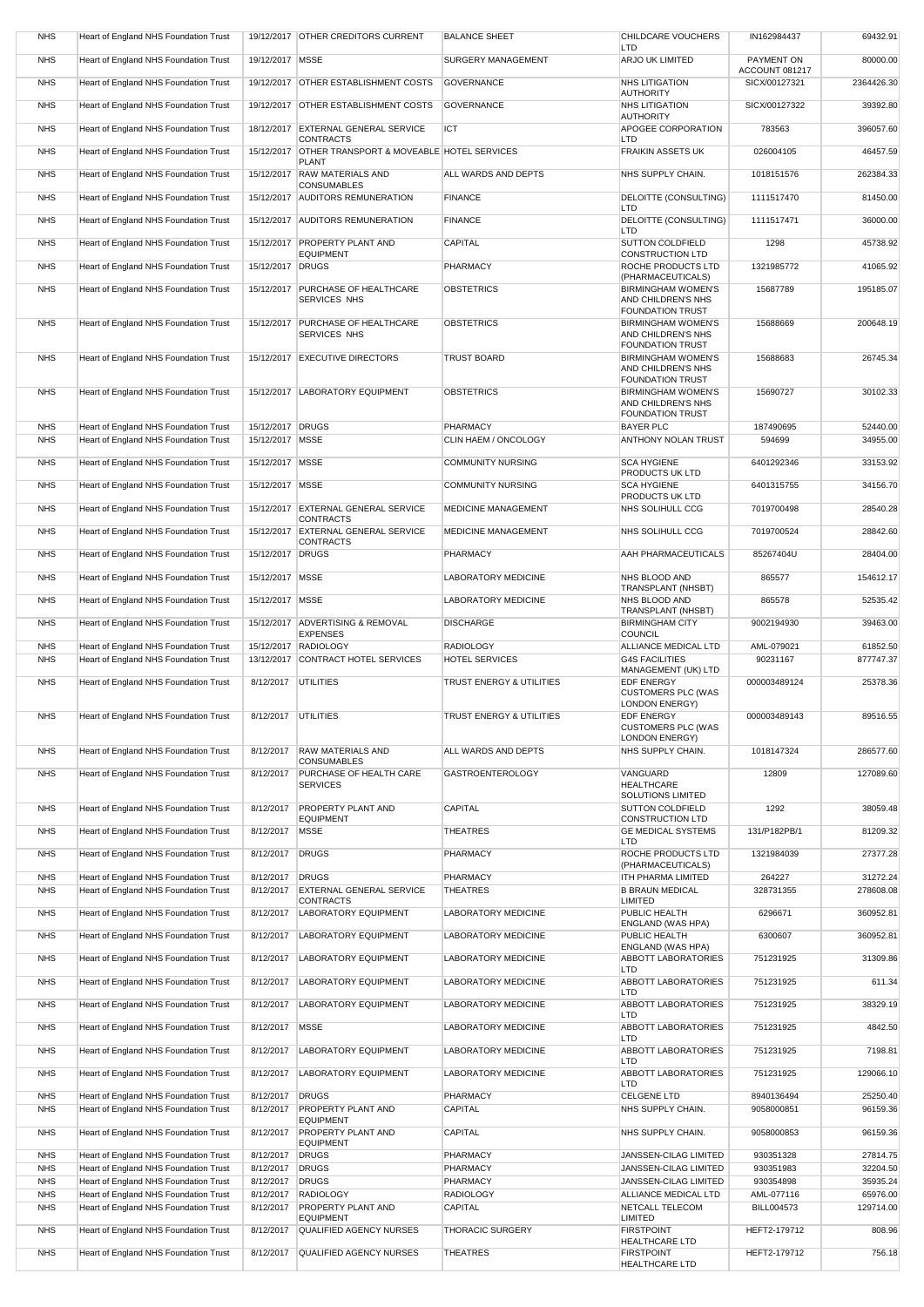| <b>NHS</b>               | Heart of England NHS Foundation Trust                                          |                        | 19/12/2017 OTHER CREDITORS CURRENT                                       | <b>BALANCE SHEET</b>                | <b>CHILDCARE VOUCHERS</b><br><b>LTD</b>                                    | IN162984437                     | 69432.91             |
|--------------------------|--------------------------------------------------------------------------------|------------------------|--------------------------------------------------------------------------|-------------------------------------|----------------------------------------------------------------------------|---------------------------------|----------------------|
| <b>NHS</b>               | Heart of England NHS Foundation Trust                                          | 19/12/2017 MSSE        |                                                                          | <b>SURGERY MANAGEMENT</b>           | <b>ARJO UK LIMITED</b>                                                     | PAYMENT ON                      | 80000.00             |
| <b>NHS</b>               | Heart of England NHS Foundation Trust                                          |                        | 19/12/2017 OTHER ESTABLISHMENT COSTS                                     | <b>GOVERNANCE</b>                   | <b>NHS LITIGATION</b>                                                      | ACCOUNT 081217<br>SICX/00127321 | 2364426.30           |
| <b>NHS</b>               | Heart of England NHS Foundation Trust                                          |                        | 19/12/2017 OTHER ESTABLISHMENT COSTS                                     | <b>GOVERNANCE</b>                   | <b>AUTHORITY</b><br><b>NHS LITIGATION</b>                                  | SICX/00127322                   | 39392.80             |
| <b>NHS</b>               | Heart of England NHS Foundation Trust                                          |                        | 18/12/2017 EXTERNAL GENERAL SERVICE                                      | <b>ICT</b>                          | <b>AUTHORITY</b><br>APOGEE CORPORATION                                     | 783563                          | 396057.60            |
| <b>NHS</b>               | Heart of England NHS Foundation Trust                                          |                        | <b>CONTRACTS</b><br>15/12/2017 OTHER TRANSPORT & MOVEABLE HOTEL SERVICES |                                     | <b>LTD</b><br><b>FRAIKIN ASSETS UK</b>                                     | 026004105                       | 46457.59             |
| <b>NHS</b>               | Heart of England NHS Foundation Trust                                          | 15/12/2017             | <b>PLANT</b><br><b>RAW MATERIALS AND</b>                                 | ALL WARDS AND DEPTS                 | NHS SUPPLY CHAIN.                                                          | 1018151576                      | 262384.33            |
| <b>NHS</b>               | Heart of England NHS Foundation Trust                                          |                        | <b>CONSUMABLES</b><br>15/12/2017 AUDITORS REMUNERATION                   | <b>FINANCE</b>                      | DELOITTE (CONSULTING)                                                      | 1111517470                      | 81450.00             |
|                          |                                                                                |                        |                                                                          |                                     | <b>LTD</b>                                                                 |                                 |                      |
| <b>NHS</b>               | Heart of England NHS Foundation Trust                                          |                        | 15/12/2017 AUDITORS REMUNERATION                                         | <b>FINANCE</b>                      | DELOITTE (CONSULTING)<br><b>LTD</b>                                        | 1111517471                      | 36000.00             |
| <b>NHS</b>               | Heart of England NHS Foundation Trust                                          |                        | 15/12/2017 PROPERTY PLANT AND<br><b>EQUIPMENT</b>                        | <b>CAPITAL</b>                      | <b>SUTTON COLDFIELD</b><br><b>CONSTRUCTION LTD</b>                         | 1298                            | 45738.92             |
| <b>NHS</b>               | Heart of England NHS Foundation Trust                                          | 15/12/2017 DRUGS       |                                                                          | <b>PHARMACY</b>                     | ROCHE PRODUCTS LTD<br>(PHARMACEUTICALS)                                    | 1321985772                      | 41065.92             |
| <b>NHS</b>               | Heart of England NHS Foundation Trust                                          | 15/12/2017             | <b>PURCHASE OF HEALTHCARE</b><br><b>SERVICES NHS</b>                     | OBSTETRICS                          | <b>BIRMINGHAM WOMEN'S</b><br>AND CHILDREN'S NHS<br><b>FOUNDATION TRUST</b> | 15687789                        | 195185.07            |
| <b>NHS</b>               | <b>Heart of England NHS Foundation Trust</b>                                   | 15/12/2017             | <b>PURCHASE OF HEALTHCARE</b><br><b>SERVICES NHS</b>                     | <b>OBSTETRICS</b>                   | <b>BIRMINGHAM WOMEN'S</b><br>AND CHILDREN'S NHS<br><b>FOUNDATION TRUST</b> | 15688669                        | 200648.19            |
| <b>NHS</b>               | Heart of England NHS Foundation Trust                                          |                        | 15/12/2017 EXECUTIVE DIRECTORS                                           | <b>TRUST BOARD</b>                  | <b>BIRMINGHAM WOMEN'S</b><br>AND CHILDREN'S NHS<br><b>FOUNDATION TRUST</b> | 15688683                        | 26745.34             |
| <b>NHS</b>               | Heart of England NHS Foundation Trust                                          |                        | 15/12/2017 LABORATORY EQUIPMENT                                          | <b>OBSTETRICS</b>                   | <b>BIRMINGHAM WOMEN'S</b><br>AND CHILDREN'S NHS<br><b>FOUNDATION TRUST</b> | 15690727                        | 30102.33             |
| <b>NHS</b>               | Heart of England NHS Foundation Trust                                          | 15/12/2017 DRUGS       |                                                                          | <b>PHARMACY</b>                     | <b>BAYER PLC</b>                                                           | 187490695                       | 52440.00             |
| <b>NHS</b>               | Heart of England NHS Foundation Trust                                          | 15/12/2017   MSSE      |                                                                          | CLIN HAEM / ONCOLOGY                | ANTHONY NOLAN TRUST                                                        | 594699                          | 34955.00             |
| <b>NHS</b>               | Heart of England NHS Foundation Trust                                          | 15/12/2017   MSSE      |                                                                          | <b>COMMUNITY NURSING</b>            | <b>SCA HYGIENE</b><br>PRODUCTS UK LTD                                      | 6401292346                      | 33153.92             |
| <b>NHS</b>               | Heart of England NHS Foundation Trust                                          | 15/12/2017   MSSE      |                                                                          | <b>COMMUNITY NURSING</b>            | <b>SCA HYGIENE</b><br>PRODUCTS UK LTD                                      | 6401315755                      | 34156.70             |
| <b>NHS</b>               | Heart of England NHS Foundation Trust                                          |                        | 15/12/2017 EXTERNAL GENERAL SERVICE<br><b>CONTRACTS</b>                  | <b>MEDICINE MANAGEMENT</b>          | NHS SOLIHULL CCG                                                           | 7019700498                      | 28540.28             |
| <b>NHS</b>               | Heart of England NHS Foundation Trust                                          |                        | 15/12/2017 EXTERNAL GENERAL SERVICE<br><b>CONTRACTS</b>                  | <b>MEDICINE MANAGEMENT</b>          | NHS SOLIHULL CCG                                                           | 7019700524                      | 28842.60             |
| <b>NHS</b>               | Heart of England NHS Foundation Trust                                          | 15/12/2017 DRUGS       |                                                                          | <b>PHARMACY</b>                     | AAH PHARMACEUTICALS                                                        | 85267404U                       | 28404.00             |
| <b>NHS</b>               | Heart of England NHS Foundation Trust                                          | 15/12/2017 MSSE        |                                                                          | <b>LABORATORY MEDICINE</b>          | NHS BLOOD AND                                                              | 865577                          | 154612.17            |
| <b>NHS</b>               | <b>Heart of England NHS Foundation Trust</b>                                   | 15/12/2017 MSSE        |                                                                          | <b>LABORATORY MEDICINE</b>          | <b>TRANSPLANT (NHSBT)</b><br>NHS BLOOD AND                                 | 865578                          | 52535.42             |
| <b>NHS</b>               | Heart of England NHS Foundation Trust                                          |                        | 15/12/2017 ADVERTISING & REMOVAL<br><b>EXPENSES</b>                      | <b>DISCHARGE</b>                    | <b>TRANSPLANT (NHSBT)</b><br><b>BIRMINGHAM CITY</b><br><b>COUNCIL</b>      | 9002194930                      | 39463.00             |
| <b>NHS</b>               | Heart of England NHS Foundation Trust                                          |                        | 15/12/2017 RADIOLOGY                                                     | <b>RADIOLOGY</b>                    | <b>ALLIANCE MEDICAL LTD</b>                                                | AML-079021                      | 61852.50             |
| <b>NHS</b>               | Heart of England NHS Foundation Trust                                          |                        | 13/12/2017 CONTRACT HOTEL SERVICES                                       | <b>HOTEL SERVICES</b>               | <b>G4S FACILITIES</b><br>MANAGEMENT (UK) LTD                               | 90231167                        | 877747.37            |
| <b>NHS</b>               | Heart of England NHS Foundation Trust                                          | 8/12/2017              | UTILITIES                                                                | <b>TRUST ENERGY &amp; UTILITIES</b> | <b>EDF ENERGY</b><br><b>CUSTOMERS PLC (WAS</b><br><b>LONDON ENERGY)</b>    | 000003489124                    | 25378.36             |
| <b>NHS</b>               | Heart of England NHS Foundation Trust                                          | 8/12/2017 UTILITIES    |                                                                          | <b>TRUST ENERGY &amp; UTILITIES</b> | <b>EDF ENERGY</b><br><b>CUSTOMERS PLC (WAS</b><br><b>LONDON ENERGY)</b>    | 000003489143                    | 89516.55             |
| <b>NHS</b>               | Heart of England NHS Foundation Trust                                          | 8/12/2017              | <b>RAW MATERIALS AND</b><br><b>CONSUMABLES</b>                           | ALL WARDS AND DEPTS                 | NHS SUPPLY CHAIN.                                                          | 1018147324                      | 286577.60            |
| <b>NHS</b>               | Heart of England NHS Foundation Trust                                          | 8/12/2017              | PURCHASE OF HEALTH CARE<br><b>SERVICES</b>                               | <b>GASTROENTEROLOGY</b>             | VANGUARD<br><b>HEALTHCARE</b><br>SOLUTIONS LIMITED                         | 12809                           | 127089.60            |
| <b>NHS</b>               | Heart of England NHS Foundation Trust                                          | 8/12/2017              | <b>PROPERTY PLANT AND</b><br><b>EQUIPMENT</b>                            | <b>CAPITAL</b>                      | <b>SUTTON COLDFIELD</b><br><b>CONSTRUCTION LTD</b>                         | 1292                            | 38059.48             |
| <b>NHS</b>               | Heart of England NHS Foundation Trust                                          | 8/12/2017              | <b>MSSE</b>                                                              | <b>THEATRES</b>                     | <b>GE MEDICAL SYSTEMS</b><br><b>LTD</b>                                    | 131/P182PB/1                    | 81209.32             |
| <b>NHS</b>               | Heart of England NHS Foundation Trust                                          | 8/12/2017              | <b>DRUGS</b>                                                             | PHARMACY                            | ROCHE PRODUCTS LTD<br>(PHARMACEUTICALS)                                    | 1321984039                      | 27377.28             |
| <b>NHS</b>               | Heart of England NHS Foundation Trust                                          | 8/12/2017              | DRUGS                                                                    | PHARMACY                            | <b>ITH PHARMA LIMITED</b>                                                  | 264227                          | 31272.24             |
| <b>NHS</b>               | Heart of England NHS Foundation Trust                                          | 8/12/2017              | <b>EXTERNAL GENERAL SERVICE</b><br><b>CONTRACTS</b>                      | <b>THEATRES</b>                     | <b>B BRAUN MEDICAL</b><br><b>LIMITED</b>                                   | 328731355                       | 278608.08            |
| <b>NHS</b>               | Heart of England NHS Foundation Trust                                          | 8/12/2017              | <b>LABORATORY EQUIPMENT</b>                                              | <b>LABORATORY MEDICINE</b>          | PUBLIC HEALTH<br>ENGLAND (WAS HPA)                                         | 6296671                         | 360952.81            |
| <b>NHS</b>               | <b>Heart of England NHS Foundation Trust</b>                                   | 8/12/2017              | <b>LABORATORY EQUIPMENT</b>                                              | <b>LABORATORY MEDICINE</b>          | PUBLIC HEALTH<br>ENGLAND (WAS HPA)                                         | 6300607                         | 360952.81            |
| <b>NHS</b>               | <b>Heart of England NHS Foundation Trust</b>                                   | 8/12/2017              | <b>LABORATORY EQUIPMENT</b>                                              | <b>LABORATORY MEDICINE</b>          | <b>ABBOTT LABORATORIES</b><br><b>LTD</b>                                   | 751231925                       | 31309.86             |
| <b>NHS</b>               | <b>Heart of England NHS Foundation Trust</b>                                   | 8/12/2017              | <b>LABORATORY EQUIPMENT</b>                                              | <b>LABORATORY MEDICINE</b>          | <b>ABBOTT LABORATORIES</b><br><b>LTD</b>                                   | 751231925                       | 611.34               |
| <b>NHS</b>               | <b>Heart of England NHS Foundation Trust</b>                                   | 8/12/2017              | <b>LABORATORY EQUIPMENT</b>                                              | LABORATORY MEDICINE                 | <b>ABBOTT LABORATORIES</b><br><b>LTD</b>                                   | 751231925                       | 38329.19             |
| <b>NHS</b>               | Heart of England NHS Foundation Trust                                          | 8/12/2017              | <b>MSSE</b>                                                              | <b>LABORATORY MEDICINE</b>          | <b>ABBOTT LABORATORIES</b><br><b>LTD</b>                                   | 751231925                       | 4842.50              |
| <b>NHS</b>               | Heart of England NHS Foundation Trust                                          | 8/12/2017              | <b>LABORATORY EQUIPMENT</b>                                              | <b>LABORATORY MEDICINE</b>          | <b>ABBOTT LABORATORIES</b><br><b>LTD</b>                                   | 751231925                       | 7198.81              |
| <b>NHS</b>               | <b>Heart of England NHS Foundation Trust</b>                                   | 8/12/2017              | <b>LABORATORY EQUIPMENT</b>                                              | <b>LABORATORY MEDICINE</b>          | <b>ABBOTT LABORATORIES</b><br>LTD                                          | 751231925                       | 129066.10            |
| <b>NHS</b><br><b>NHS</b> | Heart of England NHS Foundation Trust<br>Heart of England NHS Foundation Trust | 8/12/2017<br>8/12/2017 | DRUGS<br><b>PROPERTY PLANT AND</b>                                       | PHARMACY<br>CAPITAL                 | <b>CELGENE LTD</b><br>NHS SUPPLY CHAIN.                                    | 8940136494<br>9058000851        | 25250.40<br>96159.36 |
| <b>NHS</b>               | Heart of England NHS Foundation Trust                                          | 8/12/2017              | <b>EQUIPMENT</b><br><b>PROPERTY PLANT AND</b>                            | CAPITAL                             | NHS SUPPLY CHAIN.                                                          | 9058000853                      | 96159.36             |
| <b>NHS</b>               | Heart of England NHS Foundation Trust                                          | 8/12/2017              | <b>EQUIPMENT</b><br>DRUGS                                                | <b>PHARMACY</b>                     | JANSSEN-CILAG LIMITED                                                      | 930351328                       | 27814.75             |
| <b>NHS</b>               | Heart of England NHS Foundation Trust                                          | 8/12/2017              | DRUGS                                                                    | PHARMACY                            | JANSSEN-CILAG LIMITED                                                      | 930351983                       | 32204.50             |
| <b>NHS</b>               | Heart of England NHS Foundation Trust                                          | 8/12/2017              | DRUGS                                                                    | PHARMACY                            | JANSSEN-CILAG LIMITED                                                      | 930354898                       | 35935.24             |
| <b>NHS</b>               | Heart of England NHS Foundation Trust                                          | 8/12/2017              | <b>RADIOLOGY</b>                                                         | <b>RADIOLOGY</b>                    | ALLIANCE MEDICAL LTD                                                       | AML-077116                      | 65976.00             |
| <b>NHS</b>               | Heart of England NHS Foundation Trust                                          | 8/12/2017              | <b>PROPERTY PLANT AND</b><br><b>EQUIPMENT</b>                            | CAPITAL                             | NETCALL TELECOM<br><b>LIMITED</b>                                          | <b>BILL004573</b>               | 129714.00            |
| <b>NHS</b>               | Heart of England NHS Foundation Trust                                          | 8/12/2017              | <b>QUALIFIED AGENCY NURSES</b>                                           | <b>THORACIC SURGERY</b>             | <b>FIRSTPOINT</b><br><b>HEALTHCARE LTD</b>                                 | HEFT2-179712                    | 808.96               |
| <b>NHS</b>               | Heart of England NHS Foundation Trust                                          | 8/12/2017              | <b>QUALIFIED AGENCY NURSES</b>                                           | <b>THEATRES</b>                     | <b>FIRSTPOINT</b><br><b>HEALTHCARE LTD</b>                                 | HEFT2-179712                    | 756.18               |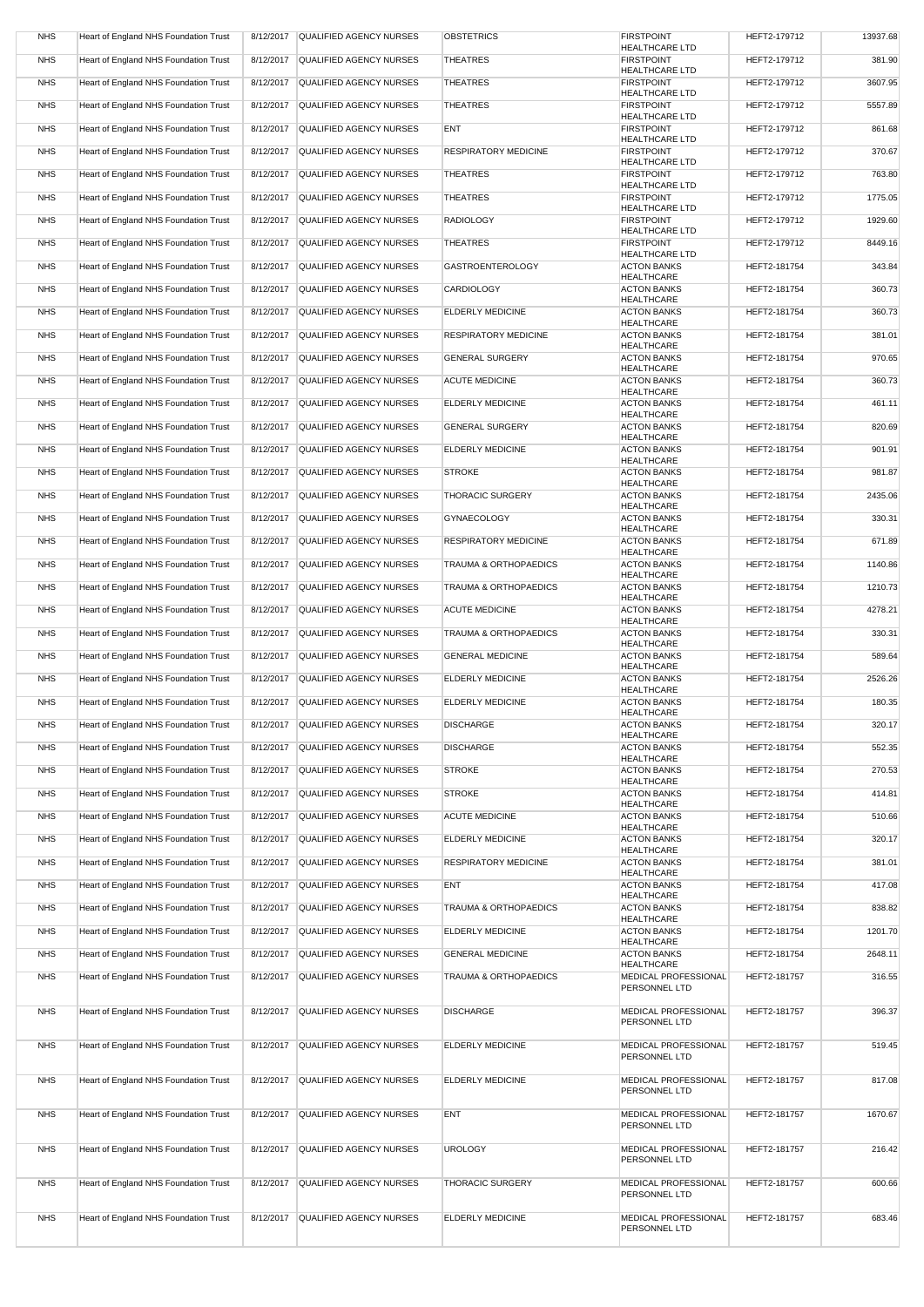| <b>NHS</b> | Heart of England NHS Foundation Trust | 8/12/2017 | QUALIFIED AGENCY NURSES           | <b>OBSTETRICS</b>                | <b>FIRSTPOINT</b>                           | HEFT2-179712 | 13937.68 |
|------------|---------------------------------------|-----------|-----------------------------------|----------------------------------|---------------------------------------------|--------------|----------|
| <b>NHS</b> | Heart of England NHS Foundation Trust | 8/12/2017 | QUALIFIED AGENCY NURSES           | <b>THEATRES</b>                  | <b>HEALTHCARE LTD</b><br><b>FIRSTPOINT</b>  | HEFT2-179712 | 381.90   |
| <b>NHS</b> | Heart of England NHS Foundation Trust | 8/12/2017 | <b>QUALIFIED AGENCY NURSES</b>    | <b>THEATRES</b>                  | <b>HEALTHCARE LTD</b><br><b>FIRSTPOINT</b>  | HEFT2-179712 | 3607.95  |
| <b>NHS</b> | Heart of England NHS Foundation Trust | 8/12/2017 | QUALIFIED AGENCY NURSES           | <b>THEATRES</b>                  | <b>HEALTHCARE LTD</b><br><b>FIRSTPOINT</b>  | HEFT2-179712 | 5557.89  |
| <b>NHS</b> | Heart of England NHS Foundation Trust |           | <b>QUALIFIED AGENCY NURSES</b>    | <b>ENT</b>                       | <b>HEALTHCARE LTD</b><br><b>FIRSTPOINT</b>  | HEFT2-179712 | 861.68   |
|            |                                       | 8/12/2017 |                                   |                                  | <b>HEALTHCARE LTD</b>                       |              |          |
| <b>NHS</b> | Heart of England NHS Foundation Trust | 8/12/2017 | <b>QUALIFIED AGENCY NURSES</b>    | <b>RESPIRATORY MEDICINE</b>      | <b>FIRSTPOINT</b><br><b>HEALTHCARE LTD</b>  | HEFT2-179712 | 370.67   |
| <b>NHS</b> | Heart of England NHS Foundation Trust | 8/12/2017 | <b>QUALIFIED AGENCY NURSES</b>    | <b>THEATRES</b>                  | <b>FIRSTPOINT</b><br><b>HEALTHCARE LTD</b>  | HEFT2-179712 | 763.80   |
| <b>NHS</b> | Heart of England NHS Foundation Trust | 8/12/2017 | <b>QUALIFIED AGENCY NURSES</b>    | <b>THEATRES</b>                  | <b>FIRSTPOINT</b><br><b>HEALTHCARE LTD</b>  | HEFT2-179712 | 1775.05  |
| <b>NHS</b> | Heart of England NHS Foundation Trust | 8/12/2017 | <b>QUALIFIED AGENCY NURSES</b>    | <b>RADIOLOGY</b>                 | <b>FIRSTPOINT</b>                           | HEFT2-179712 | 1929.60  |
| <b>NHS</b> | Heart of England NHS Foundation Trust | 8/12/2017 | <b>QUALIFIED AGENCY NURSES</b>    | <b>THEATRES</b>                  | <b>HEALTHCARE LTD</b><br><b>FIRSTPOINT</b>  | HEFT2-179712 | 8449.16  |
| <b>NHS</b> | Heart of England NHS Foundation Trust | 8/12/2017 | <b>QUALIFIED AGENCY NURSES</b>    | <b>GASTROENTEROLOGY</b>          | <b>HEALTHCARE LTD</b><br><b>ACTON BANKS</b> | HEFT2-181754 | 343.84   |
| <b>NHS</b> | Heart of England NHS Foundation Trust | 8/12/2017 | QUALIFIED AGENCY NURSES           | <b>CARDIOLOGY</b>                | <b>HEALTHCARE</b><br><b>ACTON BANKS</b>     | HEFT2-181754 | 360.73   |
|            |                                       |           |                                   |                                  | <b>HEALTHCARE</b>                           |              |          |
| <b>NHS</b> | Heart of England NHS Foundation Trust | 8/12/2017 | <b>QUALIFIED AGENCY NURSES</b>    | <b>ELDERLY MEDICINE</b>          | <b>ACTON BANKS</b><br><b>HEALTHCARE</b>     | HEFT2-181754 | 360.73   |
| <b>NHS</b> | Heart of England NHS Foundation Trust | 8/12/2017 | QUALIFIED AGENCY NURSES           | <b>RESPIRATORY MEDICINE</b>      | <b>ACTON BANKS</b><br><b>HEALTHCARE</b>     | HEFT2-181754 | 381.01   |
| <b>NHS</b> | Heart of England NHS Foundation Trust | 8/12/2017 | <b>QUALIFIED AGENCY NURSES</b>    | <b>GENERAL SURGERY</b>           | <b>ACTON BANKS</b><br><b>HEALTHCARE</b>     | HEFT2-181754 | 970.65   |
| <b>NHS</b> | Heart of England NHS Foundation Trust | 8/12/2017 | QUALIFIED AGENCY NURSES           | <b>ACUTE MEDICINE</b>            | <b>ACTON BANKS</b>                          | HEFT2-181754 | 360.73   |
| <b>NHS</b> | Heart of England NHS Foundation Trust | 8/12/2017 | QUALIFIED AGENCY NURSES           | <b>ELDERLY MEDICINE</b>          | <b>HEALTHCARE</b><br><b>ACTON BANKS</b>     | HEFT2-181754 | 461.11   |
| <b>NHS</b> | Heart of England NHS Foundation Trust | 8/12/2017 | QUALIFIED AGENCY NURSES           | <b>GENERAL SURGERY</b>           | <b>HEALTHCARE</b><br><b>ACTON BANKS</b>     | HEFT2-181754 | 820.69   |
| <b>NHS</b> | Heart of England NHS Foundation Trust | 8/12/2017 | QUALIFIED AGENCY NURSES           | <b>ELDERLY MEDICINE</b>          | <b>HEALTHCARE</b><br><b>ACTON BANKS</b>     | HEFT2-181754 | 901.91   |
| <b>NHS</b> | Heart of England NHS Foundation Trust |           | QUALIFIED AGENCY NURSES           | <b>STROKE</b>                    | <b>HEALTHCARE</b><br><b>ACTON BANKS</b>     | HEFT2-181754 | 981.87   |
|            |                                       | 8/12/2017 |                                   |                                  | <b>HEALTHCARE</b>                           |              |          |
| <b>NHS</b> | Heart of England NHS Foundation Trust | 8/12/2017 | QUALIFIED AGENCY NURSES           | <b>THORACIC SURGERY</b>          | <b>ACTON BANKS</b><br><b>HEALTHCARE</b>     | HEFT2-181754 | 2435.06  |
| <b>NHS</b> | Heart of England NHS Foundation Trust |           | 8/12/2017 QUALIFIED AGENCY NURSES | <b>GYNAECOLOGY</b>               | <b>ACTON BANKS</b><br><b>HEALTHCARE</b>     | HEFT2-181754 | 330.31   |
| <b>NHS</b> | Heart of England NHS Foundation Trust |           | 8/12/2017 QUALIFIED AGENCY NURSES | <b>RESPIRATORY MEDICINE</b>      | <b>ACTON BANKS</b><br><b>HEALTHCARE</b>     | HEFT2-181754 | 671.89   |
| <b>NHS</b> | Heart of England NHS Foundation Trust | 8/12/2017 | QUALIFIED AGENCY NURSES           | <b>TRAUMA &amp; ORTHOPAEDICS</b> | <b>ACTON BANKS</b><br><b>HEALTHCARE</b>     | HEFT2-181754 | 1140.86  |
| <b>NHS</b> | Heart of England NHS Foundation Trust | 8/12/2017 | QUALIFIED AGENCY NURSES           | <b>TRAUMA &amp; ORTHOPAEDICS</b> | <b>ACTON BANKS</b>                          | HEFT2-181754 | 1210.73  |
| <b>NHS</b> | Heart of England NHS Foundation Trust | 8/12/2017 | QUALIFIED AGENCY NURSES           | <b>ACUTE MEDICINE</b>            | <b>HEALTHCARE</b><br><b>ACTON BANKS</b>     | HEFT2-181754 | 4278.21  |
| <b>NHS</b> | Heart of England NHS Foundation Trust | 8/12/2017 | QUALIFIED AGENCY NURSES           | <b>TRAUMA &amp; ORTHOPAEDICS</b> | <b>HEALTHCARE</b><br><b>ACTON BANKS</b>     | HEFT2-181754 | 330.31   |
| <b>NHS</b> | Heart of England NHS Foundation Trust | 8/12/2017 | <b>QUALIFIED AGENCY NURSES</b>    | <b>GENERAL MEDICINE</b>          | <b>HEALTHCARE</b><br><b>ACTON BANKS</b>     | HEFT2-181754 | 589.64   |
| <b>NHS</b> | Heart of England NHS Foundation Trust | 8/12/2017 | QUALIFIED AGENCY NURSES           | <b>ELDERLY MEDICINE</b>          | <b>HEALTHCARE</b><br><b>ACTON BANKS</b>     | HEFT2-181754 | 2526.26  |
|            |                                       |           |                                   |                                  | <b>HEALTHCARE</b>                           |              |          |
| <b>NHS</b> | Heart of England NHS Foundation Trust | 8/12/2017 | <b>QUALIFIED AGENCY NURSES</b>    | <b>ELDERLY MEDICINE</b>          | <b>ACTON BANKS</b><br><b>HEALTHCARE</b>     | HEFT2-181754 | 180.35   |
| <b>NHS</b> | Heart of England NHS Foundation Trust | 8/12/2017 | QUALIFIED AGENCY NURSES           | <b>DISCHARGE</b>                 | <b>ACTON BANKS</b><br><b>HEALTHCARE</b>     | HEFT2-181754 | 320.17   |
| <b>NHS</b> | Heart of England NHS Foundation Trust | 8/12/2017 | <b>QUALIFIED AGENCY NURSES</b>    | <b>DISCHARGE</b>                 | <b>ACTON BANKS</b><br><b>HEALTHCARE</b>     | HEFT2-181754 | 552.35   |
| <b>NHS</b> | Heart of England NHS Foundation Trust | 8/12/2017 | <b>QUALIFIED AGENCY NURSES</b>    | <b>STROKE</b>                    | <b>ACTON BANKS</b><br><b>HEALTHCARE</b>     | HEFT2-181754 | 270.53   |
| <b>NHS</b> | Heart of England NHS Foundation Trust | 8/12/2017 | <b>QUALIFIED AGENCY NURSES</b>    | <b>STROKE</b>                    | <b>ACTON BANKS</b>                          | HEFT2-181754 | 414.81   |
| <b>NHS</b> | Heart of England NHS Foundation Trust | 8/12/2017 | QUALIFIED AGENCY NURSES           | <b>ACUTE MEDICINE</b>            | <b>HEALTHCARE</b><br><b>ACTON BANKS</b>     | HEFT2-181754 | 510.66   |
| <b>NHS</b> | Heart of England NHS Foundation Trust | 8/12/2017 | <b>QUALIFIED AGENCY NURSES</b>    | <b>ELDERLY MEDICINE</b>          | <b>HEALTHCARE</b><br><b>ACTON BANKS</b>     | HEFT2-181754 | 320.17   |
| <b>NHS</b> | Heart of England NHS Foundation Trust | 8/12/2017 | QUALIFIED AGENCY NURSES           | <b>RESPIRATORY MEDICINE</b>      | <b>HEALTHCARE</b><br><b>ACTON BANKS</b>     | HEFT2-181754 | 381.01   |
| <b>NHS</b> | Heart of England NHS Foundation Trust | 8/12/2017 | QUALIFIED AGENCY NURSES           | <b>ENT</b>                       | <b>HEALTHCARE</b><br><b>ACTON BANKS</b>     | HEFT2-181754 | 417.08   |
|            |                                       |           |                                   |                                  | <b>HEALTHCARE</b>                           |              |          |
| <b>NHS</b> | Heart of England NHS Foundation Trust | 8/12/2017 | QUALIFIED AGENCY NURSES           | <b>TRAUMA &amp; ORTHOPAEDICS</b> | <b>ACTON BANKS</b><br><b>HEALTHCARE</b>     | HEFT2-181754 | 838.82   |
| <b>NHS</b> | Heart of England NHS Foundation Trust | 8/12/2017 | <b>QUALIFIED AGENCY NURSES</b>    | <b>ELDERLY MEDICINE</b>          | <b>ACTON BANKS</b><br><b>HEALTHCARE</b>     | HEFT2-181754 | 1201.70  |
| <b>NHS</b> | Heart of England NHS Foundation Trust | 8/12/2017 | QUALIFIED AGENCY NURSES           | <b>GENERAL MEDICINE</b>          | <b>ACTON BANKS</b><br><b>HEALTHCARE</b>     | HEFT2-181754 | 2648.11  |
| <b>NHS</b> | Heart of England NHS Foundation Trust | 8/12/2017 | QUALIFIED AGENCY NURSES           | <b>TRAUMA &amp; ORTHOPAEDICS</b> | MEDICAL PROFESSIONAL<br>PERSONNEL LTD       | HEFT2-181757 | 316.55   |
| NHS        | Heart of England NHS Foundation Trust |           | 8/12/2017 QUALIFIED AGENCY NURSES | <b>DISCHARGE</b>                 | <b>MEDICAL PROFESSIONAL</b>                 | HEFT2-181757 | 396.37   |
|            |                                       |           |                                   |                                  | PERSONNEL LTD                               |              |          |
| <b>NHS</b> | Heart of England NHS Foundation Trust |           | 8/12/2017 QUALIFIED AGENCY NURSES | ELDERLY MEDICINE                 | MEDICAL PROFESSIONAL                        | HEFT2-181757 | 519.45   |
|            |                                       |           |                                   |                                  | PERSONNEL LTD                               |              |          |
| <b>NHS</b> | Heart of England NHS Foundation Trust |           | 8/12/2017 QUALIFIED AGENCY NURSES | <b>ELDERLY MEDICINE</b>          | MEDICAL PROFESSIONAL<br>PERSONNEL LTD       | HEFT2-181757 | 817.08   |
| <b>NHS</b> | Heart of England NHS Foundation Trust |           | 8/12/2017 QUALIFIED AGENCY NURSES | <b>ENT</b>                       | MEDICAL PROFESSIONAL                        | HEFT2-181757 | 1670.67  |
|            |                                       |           |                                   |                                  | PERSONNEL LTD                               |              |          |
| <b>NHS</b> | Heart of England NHS Foundation Trust | 8/12/2017 | QUALIFIED AGENCY NURSES           | <b>UROLOGY</b>                   | <b>MEDICAL PROFESSIONAL</b>                 | HEFT2-181757 | 216.42   |
|            |                                       |           |                                   |                                  | PERSONNEL LTD                               |              |          |
| <b>NHS</b> | Heart of England NHS Foundation Trust |           | 8/12/2017 QUALIFIED AGENCY NURSES | <b>THORACIC SURGERY</b>          | MEDICAL PROFESSIONAL<br>PERSONNEL LTD       | HEFT2-181757 | 600.66   |
| <b>NHS</b> | Heart of England NHS Foundation Trust |           | 8/12/2017 QUALIFIED AGENCY NURSES | ELDERLY MEDICINE                 | MEDICAL PROFESSIONAL                        | HEFT2-181757 | 683.46   |
|            |                                       |           |                                   |                                  | PERSONNEL LTD                               |              |          |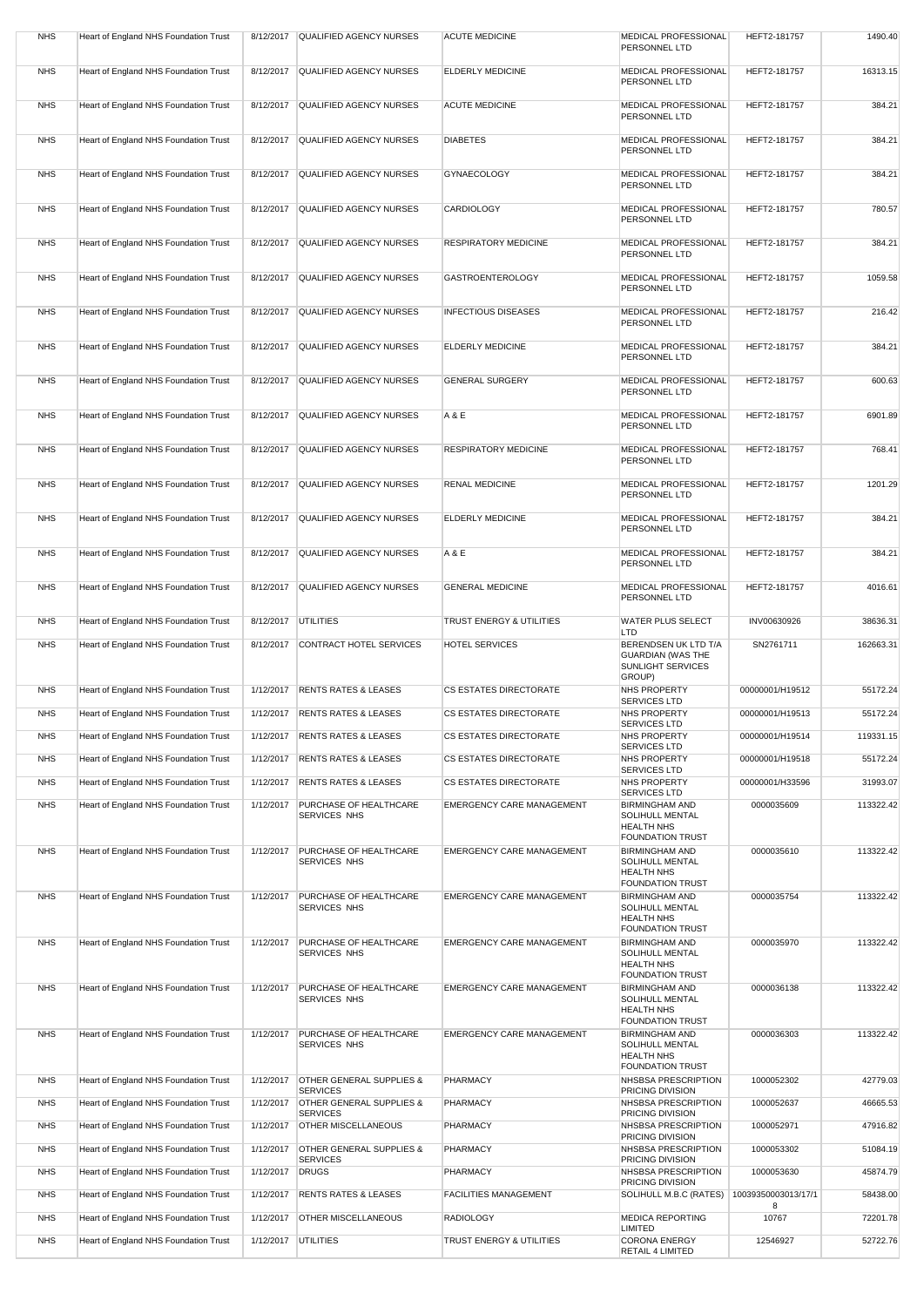|            |                                              |                       |                                                        | <b>ACUTE MEDICINE</b>               |                                                      |                     |           |
|------------|----------------------------------------------|-----------------------|--------------------------------------------------------|-------------------------------------|------------------------------------------------------|---------------------|-----------|
| <b>NHS</b> | Heart of England NHS Foundation Trust        | 8/12/2017             | QUALIFIED AGENCY NURSES                                |                                     | <b>MEDICAL PROFESSIONAL</b><br>PERSONNEL LTD         | HEFT2-181757        | 1490.40   |
| <b>NHS</b> | Heart of England NHS Foundation Trust        | 8/12/2017             | QUALIFIED AGENCY NURSES                                | <b>ELDERLY MEDICINE</b>             | MEDICAL PROFESSIONAL                                 | HEFT2-181757        | 16313.15  |
|            |                                              |                       |                                                        |                                     | PERSONNEL LTD                                        |                     |           |
| <b>NHS</b> | Heart of England NHS Foundation Trust        |                       | 8/12/2017 QUALIFIED AGENCY NURSES                      | <b>ACUTE MEDICINE</b>               | <b>MEDICAL PROFESSIONAL</b>                          | HEFT2-181757        | 384.21    |
|            |                                              |                       |                                                        |                                     | PERSONNEL LTD                                        |                     |           |
| <b>NHS</b> | Heart of England NHS Foundation Trust        | 8/12/2017             | <b>QUALIFIED AGENCY NURSES</b>                         | <b>DIABETES</b>                     | MEDICAL PROFESSIONAL                                 | HEFT2-181757        | 384.21    |
|            |                                              |                       |                                                        |                                     | PERSONNEL LTD                                        |                     |           |
| <b>NHS</b> | Heart of England NHS Foundation Trust        | 8/12/2017             | <b>QUALIFIED AGENCY NURSES</b>                         | <b>GYNAECOLOGY</b>                  | MEDICAL PROFESSIONAL                                 | HEFT2-181757        | 384.21    |
|            |                                              |                       |                                                        |                                     | PERSONNEL LTD                                        |                     |           |
| <b>NHS</b> | Heart of England NHS Foundation Trust        | 8/12/2017             | QUALIFIED AGENCY NURSES                                | <b>CARDIOLOGY</b>                   | MEDICAL PROFESSIONAL                                 | HEFT2-181757        | 780.57    |
|            |                                              |                       |                                                        |                                     | PERSONNEL LTD                                        |                     |           |
| <b>NHS</b> | Heart of England NHS Foundation Trust        |                       | 8/12/2017 QUALIFIED AGENCY NURSES                      | <b>RESPIRATORY MEDICINE</b>         | MEDICAL PROFESSIONAL                                 | HEFT2-181757        | 384.21    |
|            |                                              |                       |                                                        |                                     | PERSONNEL LTD                                        |                     |           |
| <b>NHS</b> | Heart of England NHS Foundation Trust        | 8/12/2017             | QUALIFIED AGENCY NURSES                                | <b>GASTROENTEROLOGY</b>             | <b>MEDICAL PROFESSIONAL</b><br>PERSONNEL LTD         | HEFT2-181757        | 1059.58   |
|            |                                              |                       |                                                        |                                     |                                                      |                     |           |
| <b>NHS</b> | Heart of England NHS Foundation Trust        | 8/12/2017             | <b>QUALIFIED AGENCY NURSES</b>                         | <b>INFECTIOUS DISEASES</b>          | MEDICAL PROFESSIONAL<br>PERSONNEL LTD                | HEFT2-181757        | 216.42    |
|            |                                              |                       |                                                        |                                     |                                                      |                     |           |
| <b>NHS</b> | Heart of England NHS Foundation Trust        | 8/12/2017             | <b>QUALIFIED AGENCY NURSES</b>                         | <b>ELDERLY MEDICINE</b>             | MEDICAL PROFESSIONAL<br>PERSONNEL LTD                | HEFT2-181757        | 384.21    |
| <b>NHS</b> | Heart of England NHS Foundation Trust        | 8/12/2017             | QUALIFIED AGENCY NURSES                                | <b>GENERAL SURGERY</b>              | MEDICAL PROFESSIONAL                                 | HEFT2-181757        | 600.63    |
|            |                                              |                       |                                                        |                                     | PERSONNEL LTD                                        |                     |           |
| <b>NHS</b> | <b>Heart of England NHS Foundation Trust</b> |                       | 8/12/2017 QUALIFIED AGENCY NURSES                      | A & E                               | <b>MEDICAL PROFESSIONAL</b>                          | HEFT2-181757        | 6901.89   |
|            |                                              |                       |                                                        |                                     | PERSONNEL LTD                                        |                     |           |
| <b>NHS</b> | Heart of England NHS Foundation Trust        | 8/12/2017             | QUALIFIED AGENCY NURSES                                | <b>RESPIRATORY MEDICINE</b>         | MEDICAL PROFESSIONAL                                 | HEFT2-181757        | 768.41    |
|            |                                              |                       |                                                        |                                     | PERSONNEL LTD                                        |                     |           |
| <b>NHS</b> | Heart of England NHS Foundation Trust        |                       | 8/12/2017 QUALIFIED AGENCY NURSES                      | <b>RENAL MEDICINE</b>               | MEDICAL PROFESSIONAL                                 | HEFT2-181757        | 1201.29   |
|            |                                              |                       |                                                        |                                     | PERSONNEL LTD                                        |                     |           |
| <b>NHS</b> | Heart of England NHS Foundation Trust        |                       | 8/12/2017 QUALIFIED AGENCY NURSES                      | <b>ELDERLY MEDICINE</b>             | <b>MEDICAL PROFESSIONAL</b>                          | HEFT2-181757        | 384.21    |
|            |                                              |                       |                                                        |                                     | PERSONNEL LTD                                        |                     |           |
| <b>NHS</b> | Heart of England NHS Foundation Trust        |                       | 8/12/2017 QUALIFIED AGENCY NURSES                      | A & E                               | <b>MEDICAL PROFESSIONAL</b>                          | HEFT2-181757        | 384.21    |
|            |                                              |                       |                                                        |                                     | PERSONNEL LTD                                        |                     |           |
| <b>NHS</b> | <b>Heart of England NHS Foundation Trust</b> | 8/12/2017             | <b>QUALIFIED AGENCY NURSES</b>                         | <b>GENERAL MEDICINE</b>             | <b>MEDICAL PROFESSIONAL</b><br>PERSONNEL LTD         | HEFT2-181757        | 4016.61   |
|            |                                              |                       |                                                        |                                     |                                                      |                     |           |
| <b>NHS</b> | Heart of England NHS Foundation Trust        | 8/12/2017 UTILITIES   |                                                        | <b>TRUST ENERGY &amp; UTILITIES</b> | <b>WATER PLUS SELECT</b><br><b>LTD</b>               | INV00630926         | 38636.31  |
| <b>NHS</b> | <b>Heart of England NHS Foundation Trust</b> | 8/12/2017             | CONTRACT HOTEL SERVICES                                | <b>HOTEL SERVICES</b>               | BERENDSEN UK LTD T/A                                 | SN2761711           | 162663.31 |
|            |                                              |                       |                                                        |                                     | <b>GUARDIAN (WAS THE</b><br><b>SUNLIGHT SERVICES</b> |                     |           |
|            |                                              |                       |                                                        |                                     | GROUP)                                               |                     |           |
| <b>NHS</b> | Heart of England NHS Foundation Trust        | 1/12/2017             | <b>RENTS RATES &amp; LEASES</b>                        | <b>CS ESTATES DIRECTORATE</b>       | <b>NHS PROPERTY</b><br><b>SERVICES LTD</b>           | 00000001/H19512     | 55172.24  |
| <b>NHS</b> | Heart of England NHS Foundation Trust        | 1/12/2017             | <b>RENTS RATES &amp; LEASES</b>                        | <b>CS ESTATES DIRECTORATE</b>       | <b>NHS PROPERTY</b><br><b>SERVICES LTD</b>           | 00000001/H19513     | 55172.24  |
| <b>NHS</b> | Heart of England NHS Foundation Trust        | 1/12/2017             | <b>RENTS RATES &amp; LEASES</b>                        | <b>CS ESTATES DIRECTORATE</b>       | NHS PROPERTY                                         | 00000001/H19514     | 119331.15 |
| <b>NHS</b> | Heart of England NHS Foundation Trust        | 1/12/2017             | <b>RENTS RATES &amp; LEASES</b>                        | CS ESTATES DIRECTORATE              | <b>SERVICES LTD</b><br><b>NHS PROPERTY</b>           | 00000001/H19518     | 55172.24  |
|            |                                              |                       |                                                        |                                     | <b>SERVICES LTD</b>                                  |                     |           |
| <b>NHS</b> | Heart of England NHS Foundation Trust        | 1/12/2017             | <b>RENTS RATES &amp; LEASES</b>                        | <b>CS ESTATES DIRECTORATE</b>       | <b>NHS PROPERTY</b><br><b>SERVICES LTD</b>           | 00000001/H33596     | 31993.07  |
| <b>NHS</b> | Heart of England NHS Foundation Trust        | 1/12/2017             | <b>PURCHASE OF HEALTHCARE</b><br><b>SERVICES NHS</b>   | <b>EMERGENCY CARE MANAGEMENT</b>    | <b>BIRMINGHAM AND</b><br><b>SOLIHULL MENTAL</b>      | 0000035609          | 113322.42 |
|            |                                              |                       |                                                        |                                     | <b>HEALTH NHS</b>                                    |                     |           |
| <b>NHS</b> | Heart of England NHS Foundation Trust        | 1/12/2017             | <b>PURCHASE OF HEALTHCARE</b>                          | <b>EMERGENCY CARE MANAGEMENT</b>    | <b>FOUNDATION TRUST</b><br><b>BIRMINGHAM AND</b>     | 0000035610          | 113322.42 |
|            |                                              |                       | <b>SERVICES NHS</b>                                    |                                     | <b>SOLIHULL MENTAL</b>                               |                     |           |
|            |                                              |                       |                                                        |                                     | <b>HEALTH NHS</b><br><b>FOUNDATION TRUST</b>         |                     |           |
| <b>NHS</b> | Heart of England NHS Foundation Trust        | 1/12/2017             | <b>PURCHASE OF HEALTHCARE</b>                          | <b>EMERGENCY CARE MANAGEMENT</b>    | <b>BIRMINGHAM AND</b>                                | 0000035754          | 113322.42 |
|            |                                              |                       | <b>SERVICES NHS</b>                                    |                                     | <b>SOLIHULL MENTAL</b><br><b>HEALTH NHS</b>          |                     |           |
|            |                                              |                       |                                                        |                                     | <b>FOUNDATION TRUST</b>                              |                     |           |
| <b>NHS</b> | Heart of England NHS Foundation Trust        | 1/12/2017             | <b>PURCHASE OF HEALTHCARE</b><br>SERVICES NHS          | <b>EMERGENCY CARE MANAGEMENT</b>    | <b>BIRMINGHAM AND</b><br><b>SOLIHULL MENTAL</b>      | 0000035970          | 113322.42 |
|            |                                              |                       |                                                        |                                     | <b>HEALTH NHS</b><br><b>FOUNDATION TRUST</b>         |                     |           |
| <b>NHS</b> | <b>Heart of England NHS Foundation Trust</b> | 1/12/2017             | <b>PURCHASE OF HEALTHCARE</b>                          | <b>EMERGENCY CARE MANAGEMENT</b>    | <b>BIRMINGHAM AND</b>                                | 0000036138          | 113322.42 |
|            |                                              |                       | <b>SERVICES NHS</b>                                    |                                     | <b>SOLIHULL MENTAL</b><br><b>HEALTH NHS</b>          |                     |           |
|            |                                              |                       |                                                        |                                     | <b>FOUNDATION TRUST</b>                              |                     |           |
| <b>NHS</b> | Heart of England NHS Foundation Trust        | 1/12/2017             | PURCHASE OF HEALTHCARE<br>SERVICES NHS                 | <b>EMERGENCY CARE MANAGEMENT</b>    | <b>BIRMINGHAM AND</b><br>SOLIHULL MENTAL             | 0000036303          | 113322.42 |
|            |                                              |                       |                                                        |                                     | <b>HEALTH NHS</b><br><b>FOUNDATION TRUST</b>         |                     |           |
| <b>NHS</b> | Heart of England NHS Foundation Trust        | 1/12/2017             | <b>OTHER GENERAL SUPPLIES &amp;</b>                    | <b>PHARMACY</b>                     | NHSBSA PRESCRIPTION                                  | 1000052302          | 42779.03  |
| <b>NHS</b> | <b>Heart of England NHS Foundation Trust</b> | 1/12/2017             | <b>SERVICES</b><br><b>OTHER GENERAL SUPPLIES &amp;</b> | <b>PHARMACY</b>                     | PRICING DIVISION<br>NHSBSA PRESCRIPTION              | 1000052637          | 46665.53  |
|            |                                              |                       | <b>SERVICES</b>                                        |                                     | PRICING DIVISION                                     |                     |           |
| <b>NHS</b> | Heart of England NHS Foundation Trust        | 1/12/2017             | <b>OTHER MISCELLANEOUS</b>                             | PHARMACY                            | NHSBSA PRESCRIPTION<br>PRICING DIVISION              | 1000052971          | 47916.82  |
| <b>NHS</b> | Heart of England NHS Foundation Trust        | 1/12/2017             | <b>OTHER GENERAL SUPPLIES &amp;</b>                    | <b>PHARMACY</b>                     | NHSBSA PRESCRIPTION                                  | 1000053302          | 51084.19  |
| <b>NHS</b> | Heart of England NHS Foundation Trust        | 1/12/2017             | <b>SERVICES</b><br>DRUGS                               | <b>PHARMACY</b>                     | PRICING DIVISION<br>NHSBSA PRESCRIPTION              | 1000053630          | 45874.79  |
| <b>NHS</b> | Heart of England NHS Foundation Trust        |                       | <b>RENTS RATES &amp; LEASES</b>                        | <b>FACILITIES MANAGEMENT</b>        | PRICING DIVISION                                     | 10039350003013/17/1 | 58438.00  |
|            |                                              | 1/12/2017             |                                                        |                                     | SOLIHULL M.B.C (RATES)                               | 8                   |           |
| <b>NHS</b> | Heart of England NHS Foundation Trust        | 1/12/2017             | <b>OTHER MISCELLANEOUS</b>                             | <b>RADIOLOGY</b>                    | <b>MEDICA REPORTING</b><br><b>LIMITED</b>            | 10767               | 72201.78  |
| <b>NHS</b> | Heart of England NHS Foundation Trust        | 1/12/2017   UTILITIES |                                                        | <b>TRUST ENERGY &amp; UTILITIES</b> | <b>CORONA ENERGY</b>                                 | 12546927            | 52722.76  |
|            |                                              |                       |                                                        |                                     | RETAIL 4 LIMITED                                     |                     |           |